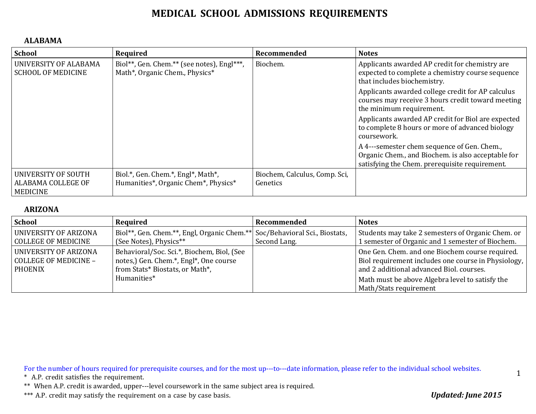#### **ALABAMA**

| <b>School</b>                                                | Required                                                                     | Recommended                               | <b>Notes</b>                                                                                                                                        |
|--------------------------------------------------------------|------------------------------------------------------------------------------|-------------------------------------------|-----------------------------------------------------------------------------------------------------------------------------------------------------|
| UNIVERSITY OF ALABAMA<br><b>SCHOOL OF MEDICINE</b>           | Biol**, Gen. Chem.** (see notes), Engl***,<br>Math*, Organic Chem., Physics* | Biochem.                                  | Applicants awarded AP credit for chemistry are<br>expected to complete a chemistry course sequence<br>that includes biochemistry.                   |
|                                                              |                                                                              |                                           | Applicants awarded college credit for AP calculus<br>courses may receive 3 hours credit toward meeting<br>the minimum requirement.                  |
|                                                              |                                                                              |                                           | Applicants awarded AP credit for Biol are expected<br>to complete 8 hours or more of advanced biology<br>coursework.                                |
|                                                              |                                                                              |                                           | A 4---semester chem sequence of Gen. Chem.,<br>Organic Chem., and Biochem. is also acceptable for<br>satisfying the Chem. prerequisite requirement. |
| UNIVERSITY OF SOUTH<br>ALABAMA COLLEGE OF<br><b>MEDICINE</b> | Biol.*, Gen. Chem.*, Engl*, Math*,<br>Humanities*, Organic Chem*, Physics*   | Biochem, Calculus, Comp. Sci,<br>Genetics |                                                                                                                                                     |

#### **ARIZONA**

| School                                                                         | Required                                                                                                                               | Recommended  | <b>Notes</b>                                                                                                                                                                                                                    |
|--------------------------------------------------------------------------------|----------------------------------------------------------------------------------------------------------------------------------------|--------------|---------------------------------------------------------------------------------------------------------------------------------------------------------------------------------------------------------------------------------|
| <b>UNIVERSITY OF ARIZONA</b><br><b>COLLEGE OF MEDICINE</b>                     | Biol**, Gen. Chem.**, Engl, Organic Chem.** Soc/Behavioral Sci., Biostats,<br>(See Notes), Physics**                                   | Second Lang. | Students may take 2 semesters of Organic Chem. or<br>1 semester of Organic and 1 semester of Biochem.                                                                                                                           |
| <b>UNIVERSITY OF ARIZONA</b><br><b>COLLEGE OF MEDICINE -</b><br><b>PHOENIX</b> | Behavioral/Soc. Sci.*, Biochem, Biol, (See<br>notes,) Gen. Chem.*, Engl*, One course<br>from Stats* Biostats, or Math*,<br>Humanities* |              | One Gen. Chem. and one Biochem course required.<br>Biol requirement includes one course in Physiology,<br>and 2 additional advanced Biol. courses.<br>Math must be above Algebra level to satisfy the<br>Math/Stats requirement |

For the number of hours required for prerequisite courses, and for the most up---to---date information, please refer to the individual school websites.

\* A.P. credit satisfies the requirement.

\*\* When A.P. credit is awarded, upper---level coursework in the same subject area is required.

\*\*\* A.P. credit may satisfy the requirement on a case by case basis. *Updated: June* 2015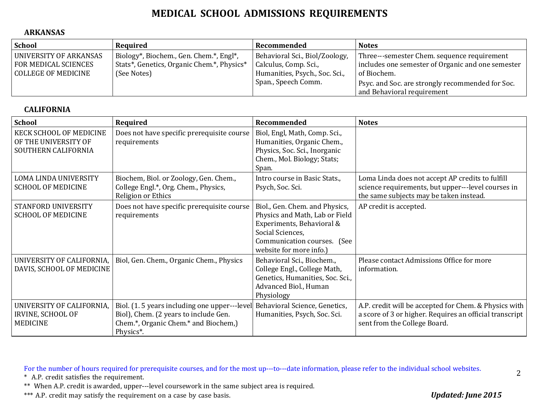#### **ARKANSAS**

| School                                             | Required                                                  | Recommended                                             | <b>Notes</b>                                                       |
|----------------------------------------------------|-----------------------------------------------------------|---------------------------------------------------------|--------------------------------------------------------------------|
| UNIVERSITY OF ARKANSAS                             | Biology*, Biochem., Gen. Chem.*, Engl*,                   | Behavioral Sci., Biol/Zoology,                          | Three---semester Chem. sequence requirement                        |
| <b>FOR MEDICAL SCIENCES</b><br>COLLEGE OF MEDICINE | Stats*, Genetics, Organic Chem.*, Physics*<br>(See Notes) | Calculus, Comp. Sci.,<br>Humanities, Psych., Soc. Sci., | includes one semester of Organic and one semester<br>l of Biochem. |
|                                                    |                                                           | Span., Speech Comm.                                     | Psyc. and Soc. are strongly recommended for Soc.                   |
|                                                    |                                                           |                                                         | and Behavioral requirement                                         |

#### **CALIFORNIA**

| <b>School</b>                                                          | Required                                                                                                                                   | Recommended                                                                                                                                                                 | <b>Notes</b>                                                                                                                                      |
|------------------------------------------------------------------------|--------------------------------------------------------------------------------------------------------------------------------------------|-----------------------------------------------------------------------------------------------------------------------------------------------------------------------------|---------------------------------------------------------------------------------------------------------------------------------------------------|
| KECK SCHOOL OF MEDICINE<br>OF THE UNIVERSITY OF<br>SOUTHERN CALIFORNIA | Does not have specific prerequisite course<br>requirements                                                                                 | Biol, Engl, Math, Comp. Sci.,<br>Humanities, Organic Chem.,<br>Physics, Soc. Sci., Inorganic<br>Chem., Mol. Biology; Stats;<br>Span.                                        |                                                                                                                                                   |
| <b>LOMA LINDA UNIVERSITY</b><br><b>SCHOOL OF MEDICINE</b>              | Biochem, Biol. or Zoology, Gen. Chem.,<br>College Engl.*, Org. Chem., Physics,<br>Religion or Ethics                                       | Intro course in Basic Stats.,<br>Psych, Soc. Sci.                                                                                                                           | Loma Linda does not accept AP credits to fulfill<br>science requirements, but upper---level courses in<br>the same subjects may be taken instead. |
| STANFORD UNIVERSITY<br><b>SCHOOL OF MEDICINE</b>                       | Does not have specific prerequisite course<br>requirements                                                                                 | Biol., Gen. Chem. and Physics,<br>Physics and Math, Lab or Field<br>Experiments, Behavioral &<br>Social Sciences,<br>Communication courses. (See<br>website for more info.) | AP credit is accepted.                                                                                                                            |
| UNIVERSITY OF CALIFORNIA,<br>DAVIS, SCHOOL OF MEDICINE                 | Biol, Gen. Chem., Organic Chem., Physics                                                                                                   | Behavioral Sci., Biochem.,<br>College Engl., College Math,<br>Genetics, Humanities, Soc. Sci.,<br>Advanced Biol., Human<br>Physiology                                       | Please contact Admissions Office for more<br>information.                                                                                         |
| UNIVERSITY OF CALIFORNIA,<br>IRVINE, SCHOOL OF<br><b>MEDICINE</b>      | Biol. (1.5 years including one upper---level<br>Biol), Chem. (2 years to include Gen.<br>Chem.*, Organic Chem.* and Biochem,)<br>Physics*. | Behavioral Science, Genetics,<br>Humanities, Psych, Soc. Sci.                                                                                                               | A.P. credit will be accepted for Chem. & Physics with<br>a score of 3 or higher. Requires an official transcript<br>sent from the College Board.  |

For the number of hours required for prerequisite courses, and for the most up---to---date information, please refer to the individual school websites.

\* A.P. credit satisfies the requirement.

\*\* When A.P. credit is awarded, upper---level coursework in the same subject area is required.

\*\*\* A.P. credit may satisfy the requirement on a case by case basis. *Updated: June 2015*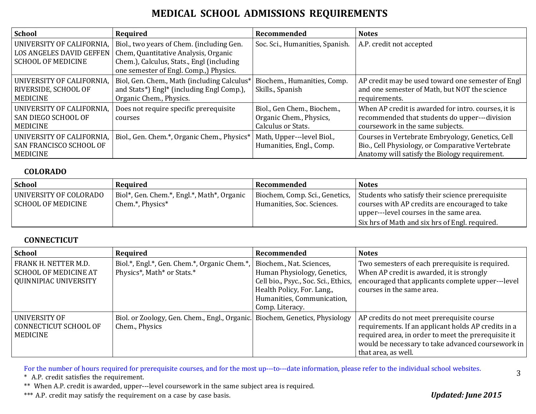| <b>School</b>                   | Required                                     | Recommended                     | <b>Notes</b>                                        |
|---------------------------------|----------------------------------------------|---------------------------------|-----------------------------------------------------|
| UNIVERSITY OF CALIFORNIA,       | Biol., two years of Chem. (including Gen.    | Soc. Sci., Humanities, Spanish. | A.P. credit not accepted                            |
| <b>LOS ANGELES DAVID GEFFEN</b> | Chem, Quantitative Analysis, Organic         |                                 |                                                     |
| <b>SCHOOL OF MEDICINE</b>       | Chem.), Calculus, Stats., Engl (including    |                                 |                                                     |
|                                 | one semester of Engl. Comp., Physics.        |                                 |                                                     |
| UNIVERSITY OF CALIFORNIA,       | Biol, Gen. Chem., Math (including Calculus*) | Biochem., Humanities, Comp.     | AP credit may be used toward one semester of Engl   |
| RIVERSIDE, SCHOOL OF            | and Stats*) Engl* (including Engl Comp.),    | Skills., Spanish                | and one semester of Math, but NOT the science       |
| <b>MEDICINE</b>                 | Organic Chem., Physics.                      |                                 | requirements.                                       |
| UNIVERSITY OF CALIFORNIA,       | Does not require specific prerequisite       | Biol., Gen Chem., Biochem.,     | When AP credit is awarded for intro. courses, it is |
| l SAN DIEGO SCHOOL OF           | courses                                      | Organic Chem., Physics,         | recommended that students do upper---division       |
| MEDICINE                        |                                              | Calculus or Stats.              | coursework in the same subjects.                    |
| UNIVERSITY OF CALIFORNIA,       | Biol., Gen. Chem.*, Organic Chem., Physics*  | Math, Upper---level Biol.,      | Courses in Vertebrate Embryology, Genetics, Cell    |
| <b>SAN FRANCISCO SCHOOL OF</b>  |                                              | Humanities, Engl., Comp.        | Bio., Cell Physiology, or Comparative Vertebrate    |
| <b>MEDICINE</b>                 |                                              |                                 | Anatomy will satisfy the Biology requirement.       |

#### **COLORADO**

| <b>School</b>                                       | Required                                                       | Recommended                                                  | <b>Notes</b>                                                                                                                                                                                     |
|-----------------------------------------------------|----------------------------------------------------------------|--------------------------------------------------------------|--------------------------------------------------------------------------------------------------------------------------------------------------------------------------------------------------|
| UNIVERSITY OF COLORADO<br><b>SCHOOL OF MEDICINE</b> | Biol*, Gen. Chem.*, Engl.*, Math*, Organic<br>Chem.*, Physics* | Biochem, Comp. Sci., Genetics,<br>Humanities, Soc. Sciences. | Students who satisfy their science prerequisite<br>courses with AP credits are encouraged to take<br>  upper---level courses in the same area.<br>Six hrs of Math and six hrs of Engl. required. |

#### **CONNECTICUT**

| <b>School</b>                                                                   | Required                                                                                      | Recommended                                                                                                                                                                    | <b>Notes</b>                                                                                                                                                                                                                         |
|---------------------------------------------------------------------------------|-----------------------------------------------------------------------------------------------|--------------------------------------------------------------------------------------------------------------------------------------------------------------------------------|--------------------------------------------------------------------------------------------------------------------------------------------------------------------------------------------------------------------------------------|
| FRANK H. NETTER M.D.<br><b>SCHOOL OF MEDICINE AT</b><br>  QUINNIPIAC UNIVERSITY | Biol.*, Engl.*, Gen. Chem.*, Organic Chem.*,<br>Physics*, Math* or Stats.*                    | Biochem., Nat. Sciences,<br>Human Physiology, Genetics,<br>Cell bio., Psyc., Soc. Sci., Ethics,<br>Health Policy, For. Lang.,<br>Humanities, Communication,<br>Comp. Literacy. | Two semesters of each prerequisite is required.<br>When AP credit is awarded, it is strongly<br>encouraged that applicants complete upper---level<br>courses in the same area.                                                       |
| UNIVERSITY OF<br>CONNECTICUT SCHOOL OF<br>  MEDICINE                            | Biol. or Zoology, Gen. Chem., Engl., Organic. Biochem, Genetics, Physiology<br>Chem., Physics |                                                                                                                                                                                | AP credits do not meet prerequisite course<br>requirements. If an applicant holds AP credits in a<br>required area, in order to meet the prerequisite it<br>would be necessary to take advanced coursework in<br>that area, as well. |

For the number of hours required for prerequisite courses, and for the most up---to---date information, please refer to the individual school websites.

\* A.P. credit satisfies the requirement.

\*\* When A.P. credit is awarded, upper---level coursework in the same subject area is required.

\*\*\* A.P. credit may satisfy the requirement on a case by case basis. *Updated: June 2015*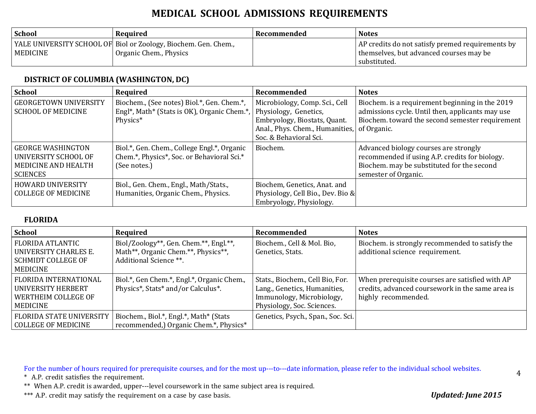| <b>School</b> | Required                                                                                  | Recommended | <b>Notes</b>                                                                                                  |
|---------------|-------------------------------------------------------------------------------------------|-------------|---------------------------------------------------------------------------------------------------------------|
| MEDICINE      | YALE UNIVERSITY SCHOOL OF Biol or Zoology, Biochem. Gen. Chem.,<br>Organic Chem., Physics |             | AP credits do not satisfy premed requirements by<br>themselves, but advanced courses may be<br>l substituted. |

### **DISTRICT OF COLUMBIA (WASHINGTON, DC)**

| <b>School</b>                                                                                     | Required                                                                                                                                    | Recommended                                                                                                                                                      | <b>Notes</b>                                                                                                                                                  |
|---------------------------------------------------------------------------------------------------|---------------------------------------------------------------------------------------------------------------------------------------------|------------------------------------------------------------------------------------------------------------------------------------------------------------------|---------------------------------------------------------------------------------------------------------------------------------------------------------------|
| <b>GEORGETOWN UNIVERSITY</b><br><b>SCHOOL OF MEDICINE</b>                                         | Biochem., (See notes) Biol.*, Gen. Chem.*,<br>Engl <sup>*</sup> , Math <sup>*</sup> (Stats is OK), Organic Chem. <sup>*</sup> ,<br>Physics* | Microbiology, Comp. Sci., Cell<br>Physiology, Genetics,<br>Embryology, Biostats, Quant.<br>Anal., Phys. Chem., Humanities, of Organic.<br>Soc. & Behavioral Sci. | Biochem. is a requirement beginning in the 2019<br>admissions cycle. Until then, applicants may use<br>Biochem. toward the second semester requirement        |
| <b>GEORGE WASHINGTON</b><br>UNIVERSITY SCHOOL OF<br><b>MEDICINE AND HEALTH</b><br><b>SCIENCES</b> | Biol.*, Gen. Chem., College Engl.*, Organic<br>Chem.*, Physics*, Soc. or Behavioral Sci.*<br>(See notes.)                                   | Biochem.                                                                                                                                                         | Advanced biology courses are strongly<br>recommended if using A.P. credits for biology.<br>Biochem. may be substituted for the second<br>semester of Organic. |
| <b>HOWARD UNIVERSITY</b><br><b>COLLEGE OF MEDICINE</b>                                            | Biol., Gen. Chem., Engl., Math/Stats.,<br>Humanities, Organic Chem., Physics.                                                               | Biochem, Genetics, Anat. and<br>Physiology, Cell Bio., Dev. Bio &<br>Embryology, Physiology.                                                                     |                                                                                                                                                               |

#### **FLORIDA**

| School                                                                                    | Required                                                                                                | Recommended                                                                                                                 | <b>Notes</b>                                                                                                               |
|-------------------------------------------------------------------------------------------|---------------------------------------------------------------------------------------------------------|-----------------------------------------------------------------------------------------------------------------------------|----------------------------------------------------------------------------------------------------------------------------|
| <b>FLORIDA ATLANTIC</b><br>UNIVERSITY CHARLES E.<br><b>SCHMIDT COLLEGE OF</b><br>MEDICINE | Biol/Zoology**, Gen. Chem.**, Engl.**,<br>Math**, Organic Chem.**, Physics**,<br>Additional Science **. | Biochem., Cell & Mol. Bio,<br>Genetics, Stats.                                                                              | Biochem. is strongly recommended to satisfy the<br>additional science requirement.                                         |
| FLORIDA INTERNATIONAL<br>UNIVERSITY HERBERT<br>WERTHEIM COLLEGE OF<br><b>MEDICINE</b>     | Biol.*, Gen Chem.*, Engl.*, Organic Chem.,<br>Physics*, Stats* and/or Calculus*.                        | Stats., Biochem., Cell Bio, For.<br>Lang., Genetics, Humanities,<br>Immunology, Microbiology,<br>Physiology, Soc. Sciences. | When prerequisite courses are satisfied with AP<br>credits, advanced coursework in the same area is<br>highly recommended. |
| <b>FLORIDA STATE UNIVERSITY</b><br><b>COLLEGE OF MEDICINE</b>                             | Biochem., Biol.*, Engl.*, Math* (Stats<br>recommended,) Organic Chem.*, Physics*                        | Genetics, Psych., Span., Soc. Sci.                                                                                          |                                                                                                                            |

For the number of hours required for prerequisite courses, and for the most up---to---date information, please refer to the individual school websites.

\* A.P. credit satisfies the requirement.

\*\* When A.P. credit is awarded, upper---level coursework in the same subject area is required.

\*\*\* A.P. credit may satisfy the requirement on a case by case basis. *Updated: June 2015*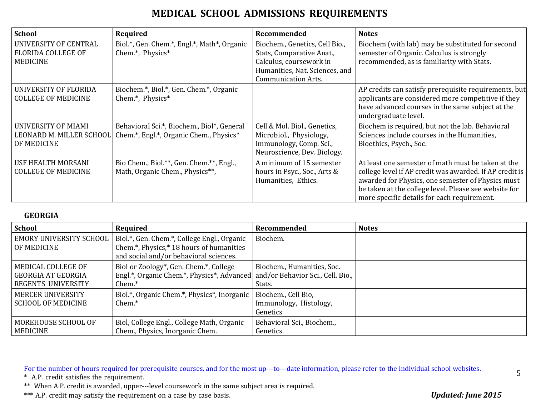| <b>School</b>                                                         | Required                                                                                                       | Recommended                                                                                                                                            | <b>Notes</b>                                                                                                                                                                                                                                                               |
|-----------------------------------------------------------------------|----------------------------------------------------------------------------------------------------------------|--------------------------------------------------------------------------------------------------------------------------------------------------------|----------------------------------------------------------------------------------------------------------------------------------------------------------------------------------------------------------------------------------------------------------------------------|
| UNIVERSITY OF CENTRAL<br><b>FLORIDA COLLEGE OF</b><br><b>MEDICINE</b> | Biol.*, Gen. Chem.*, Engl.*, Math*, Organic<br>Chem.*, Physics*                                                | Biochem., Genetics, Cell Bio.,<br>Stats, Comparative Anat.,<br>Calculus, coursework in<br>Humanities, Nat. Sciences, and<br><b>Communication Arts.</b> | Biochem (with lab) may be substituted for second<br>semester of Organic. Calculus is strongly<br>recommended, as is familiarity with Stats.                                                                                                                                |
| UNIVERSITY OF FLORIDA<br><b>COLLEGE OF MEDICINE</b>                   | Biochem.*, Biol.*, Gen. Chem.*, Organic<br>Chem.*, Physics*                                                    |                                                                                                                                                        | AP credits can satisfy prerequisite requirements, but<br>applicants are considered more competitive if they<br>have advanced courses in the same subject at the<br>undergraduate level.                                                                                    |
| <b>UNIVERSITY OF MIAMI</b><br>OF MEDICINE                             | Behavioral Sci.*, Biochem., Biol*, General<br>LEONARD M. MILLER SCHOOL Chem.*, Engl.*, Organic Chem., Physics* | Cell & Mol. Biol., Genetics,<br>Microbiol., Physiology,<br>Immunology, Comp. Sci.,<br>Neuroscience, Dev. Biology.                                      | Biochem is required, but not the lab. Behavioral<br>Sciences include courses in the Humanities,<br>Bioethics, Psych., Soc.                                                                                                                                                 |
| USF HEALTH MORSANI<br><b>COLLEGE OF MEDICINE</b>                      | Bio Chem., Biol.**, Gen. Chem.**, Engl.,<br>Math, Organic Chem., Physics**,                                    | A minimum of 15 semester<br>hours in Psyc., Soc., Arts &<br>Humanities, Ethics.                                                                        | At least one semester of math must be taken at the<br>college level if AP credit was awarded. If AP credit is<br>awarded for Physics, one semester of Physics must<br>be taken at the college level. Please see website for<br>more specific details for each requirement. |

#### **GEORGIA**

| <b>School</b>                                                           | Required                                                                                                                          | Recommended                             | <b>Notes</b> |
|-------------------------------------------------------------------------|-----------------------------------------------------------------------------------------------------------------------------------|-----------------------------------------|--------------|
| EMORY UNIVERSITY SCHOOL<br>I OF MEDICINE                                | Biol.*, Gen. Chem.*, College Engl., Organic<br>Chem.*, Physics,* 18 hours of humanities<br>and social and/or behavioral sciences. | Biochem.                                |              |
| MEDICAL COLLEGE OF<br>  GEORGIA AT GEORGIA<br><b>REGENTS UNIVERSITY</b> | Biol or Zoology*, Gen. Chem.*, College<br>Engl.*, Organic Chem.*, Physics*, Advanced and/or Behavior Sci., Cell. Bio.,<br>Chem.*  | Biochem., Humanities, Soc.<br>Stats.    |              |
| MERCER UNIVERSITY<br><b>SCHOOL OF MEDICINE</b>                          | Biol.*, Organic Chem.*, Physics*, Inorganic   Biochem., Cell Bio,<br>Chem.*                                                       | Immunology, Histology,<br>Genetics      |              |
| MOREHOUSE SCHOOL OF<br><b>MEDICINE</b>                                  | Biol, College Engl., College Math, Organic<br>Chem., Physics, Inorganic Chem.                                                     | Behavioral Sci., Biochem.,<br>Genetics. |              |

For the number of hours required for prerequisite courses, and for the most up---to---date information, please refer to the individual school websites.

\* A.P. credit satisfies the requirement.

\*\* When A.P. credit is awarded, upper---level coursework in the same subject area is required.

\*\*\* A.P. credit may satisfy the requirement on a case by case basis. *Updated: June 2015*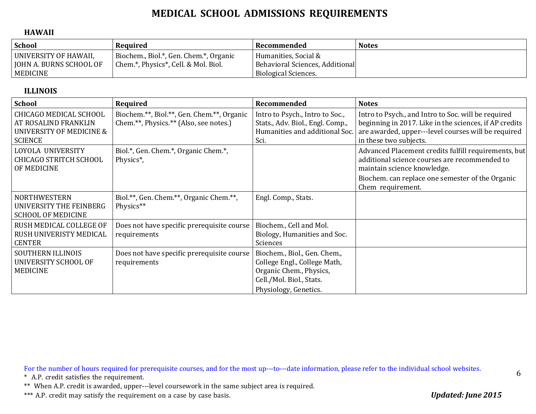#### **HAWAII**

| <b>School</b>                                                       | Required                                                                       | Recommended                                                                     | <b>Notes</b> |
|---------------------------------------------------------------------|--------------------------------------------------------------------------------|---------------------------------------------------------------------------------|--------------|
| UNIVERSITY OF HAWAII,<br><b>JOHN A. BURNS SCHOOL OF</b><br>MEDICINE | Biochem., Biol.*, Gen. Chem.*, Organic<br>Chem.*, Physics*, Cell. & Mol. Biol. | Humanities, Social &<br>Behavioral Sciences, Additional<br>Biological Sciences. |              |

#### **ILLINOIS**

| <b>School</b>                                                                                | Required                                                                             | Recommended                                                                                                                                  | <b>Notes</b>                                                                                                                                                                                                  |
|----------------------------------------------------------------------------------------------|--------------------------------------------------------------------------------------|----------------------------------------------------------------------------------------------------------------------------------------------|---------------------------------------------------------------------------------------------------------------------------------------------------------------------------------------------------------------|
| CHICAGO MEDICAL SCHOOL<br>AT ROSALIND FRANKLIN<br>UNIVERSITY OF MEDICINE &<br><b>SCIENCE</b> | Biochem.**, Biol.**, Gen. Chem.**, Organic<br>Chem.**, Physics.** (Also, see notes.) | Intro to Psych., Intro to Soc.,<br>Stats., Adv. Biol., Engl. Comp.,<br>Humanities and additional Soc.<br>Sci.                                | Intro to Psych., and Intro to Soc. will be required<br>beginning in 2017. Like in the sciences, if AP credits<br>are awarded, upper---level courses will be required<br>in these two subjects.                |
| LOYOLA UNIVERSITY<br><b>CHICAGO STRITCH SCHOOL</b><br>OF MEDICINE                            | Biol.*, Gen. Chem.*, Organic Chem.*,<br>Physics <sup>*</sup> ,                       |                                                                                                                                              | Advanced Placement credits fulfill requirements, but<br>additional science courses are recommended to<br>maintain science knowledge.<br>Biochem. can replace one semester of the Organic<br>Chem requirement. |
| <b>NORTHWESTERN</b><br>UNIVERSITY THE FEINBERG<br><b>SCHOOL OF MEDICINE</b>                  | Biol.**, Gen. Chem.**, Organic Chem.**,<br>Physics**                                 | Engl. Comp., Stats.                                                                                                                          |                                                                                                                                                                                                               |
| RUSH MEDICAL COLLEGE OF<br>RUSH UNIVERISTY MEDICAL<br><b>CENTER</b>                          | Does not have specific prerequisite course<br>requirements                           | Biochem., Cell and Mol.<br>Biology, Humanities and Soc.<br>Sciences                                                                          |                                                                                                                                                                                                               |
| <b>SOUTHERN ILLINOIS</b><br>UNIVERSITY SCHOOL OF<br><b>MEDICINE</b>                          | Does not have specific prerequisite course<br>requirements                           | Biochem., Biol., Gen. Chem.,<br>College Engl., College Math,<br>Organic Chem., Physics,<br>Cell./Mol. Biol., Stats.<br>Physiology, Genetics. |                                                                                                                                                                                                               |

For the number of hours required for prerequisite courses, and for the most up---to---date information, please refer to the individual school websites.

\* A.P. credit satisfies the requirement.

\*\* When A.P. credit is awarded, upper---level coursework in the same subject area is required.

\*\*\* A.P. credit may satisfy the requirement on a case by case basis. *Updated: June 2015*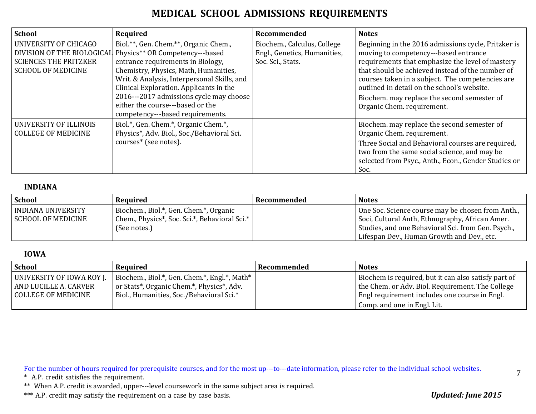| <b>School</b>                                                                                                    | Required                                                                                                                                                                                                                                                                                                                                                            | Recommended                                                                      | <b>Notes</b>                                                                                                                                                                                                                                                                                                                                                                         |
|------------------------------------------------------------------------------------------------------------------|---------------------------------------------------------------------------------------------------------------------------------------------------------------------------------------------------------------------------------------------------------------------------------------------------------------------------------------------------------------------|----------------------------------------------------------------------------------|--------------------------------------------------------------------------------------------------------------------------------------------------------------------------------------------------------------------------------------------------------------------------------------------------------------------------------------------------------------------------------------|
| UNIVERSITY OF CHICAGO<br>DIVISION OF THE BIOLOGICAL<br><b>SCIENCES THE PRITZKER</b><br><b>SCHOOL OF MEDICINE</b> | Biol.**, Gen. Chem.**, Organic Chem.,<br>Physics** OR Competency---based<br>entrance requirements in Biology,<br>Chemistry, Physics, Math, Humanities,<br>Writ. & Analysis, Interpersonal Skills, and<br>Clinical Exploration. Applicants in the<br>2016---2017 admissions cycle may choose<br>either the course---based or the<br>competency---based requirements. | Biochem., Calculus, College<br>Engl., Genetics, Humanities,<br>Soc. Sci., Stats. | Beginning in the 2016 admissions cycle, Pritzker is<br>moving to competency---based entrance<br>requirements that emphasize the level of mastery<br>that should be achieved instead of the number of<br>courses taken in a subject. The competencies are<br>outlined in detail on the school's website.<br>Biochem. may replace the second semester of<br>Organic Chem. requirement. |
| UNIVERSITY OF ILLINOIS<br><b>COLLEGE OF MEDICINE</b>                                                             | Biol.*, Gen. Chem.*, Organic Chem.*,<br>Physics*, Adv. Biol., Soc./Behavioral Sci.<br>courses* (see notes).                                                                                                                                                                                                                                                         |                                                                                  | Biochem. may replace the second semester of<br>Organic Chem. requirement.<br>Three Social and Behavioral courses are required,<br>two from the same social science, and may be<br>selected from Psyc., Anth., Econ., Gender Studies or<br>Soc.                                                                                                                                       |

#### **INDIANA**

| <b>School</b>                                          | Required                                                                                                  | Recommended | <b>Notes</b>                                                                                                                                                                                             |
|--------------------------------------------------------|-----------------------------------------------------------------------------------------------------------|-------------|----------------------------------------------------------------------------------------------------------------------------------------------------------------------------------------------------------|
| <b>INDIANA UNIVERSITY</b><br><b>SCHOOL OF MEDICINE</b> | Biochem., Biol.*, Gen. Chem.*, Organic<br>Chem., Physics*, Soc. Sci.*, Behavioral Sci.*  <br>(See notes.) |             | One Soc. Science course may be chosen from Anth.,<br>Soci, Cultural Anth, Ethnography, African Amer.<br>Studies, and one Behavioral Sci. from Gen. Psych.,<br>Lifespan Dev., Human Growth and Dev., etc. |

#### **IOWA**

| School                                                                      | Reauired                                                                                                                              | Recommended | <b>Notes</b>                                                                                                                                              |
|-----------------------------------------------------------------------------|---------------------------------------------------------------------------------------------------------------------------------------|-------------|-----------------------------------------------------------------------------------------------------------------------------------------------------------|
| UNIVERSITY OF IOWA ROY J.<br>AND LUCILLE A. CARVER<br>l COLLEGE OF MEDICINE | Biochem., Biol.*, Gen. Chem.*, Engl.*, Math*<br>or Stats*, Organic Chem.*, Physics*, Adv.<br>Biol., Humanities, Soc./Behavioral Sci.* |             | Biochem is required, but it can also satisfy part of<br>the Chem. or Adv. Biol. Requirement. The College<br>Engl requirement includes one course in Engl. |
|                                                                             |                                                                                                                                       |             | Comp. and one in Engl. Lit.                                                                                                                               |

For the number of hours required for prerequisite courses, and for the most up---to---date information, please refer to the individual school websites.

\* A.P. credit satisfies the requirement.

\*\* When A.P. credit is awarded, upper---level coursework in the same subject area is required.

\*\*\* A.P. credit may satisfy the requirement on a case by case basis. *Updated: June 2015*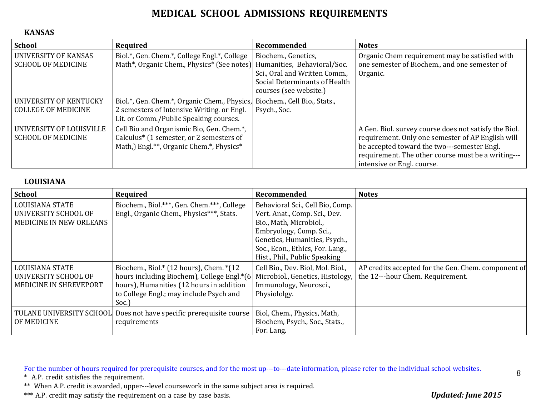#### **KANSAS**

| <b>School</b>                                            | Required                                                                                                                                                          | Recommended                                                                                                     | <b>Notes</b>                                                                                                                                                                                                                                  |
|----------------------------------------------------------|-------------------------------------------------------------------------------------------------------------------------------------------------------------------|-----------------------------------------------------------------------------------------------------------------|-----------------------------------------------------------------------------------------------------------------------------------------------------------------------------------------------------------------------------------------------|
| <b>UNIVERSITY OF KANSAS</b><br><b>SCHOOL OF MEDICINE</b> | Biol.*, Gen. Chem.*, College Engl.*, College<br>Math*, Organic Chem., Physics* (See notes) Humanities, Behavioral/Soc.                                            | Biochem., Genetics,<br>Sci., Oral and Written Comm.,<br>Social Determinants of Health<br>courses (see website.) | Organic Chem requirement may be satisfied with<br>one semester of Biochem., and one semester of<br>Organic.                                                                                                                                   |
| UNIVERSITY OF KENTUCKY<br><b>COLLEGE OF MEDICINE</b>     | Biol.*, Gen. Chem.*, Organic Chem., Physics, Biochem., Cell Bio., Stats.,<br>2 semesters of Intensive Writing. or Engl.<br>Lit. or Comm./Public Speaking courses. | Psych., Soc.                                                                                                    |                                                                                                                                                                                                                                               |
| UNIVERSITY OF LOUISVILLE<br><b>SCHOOL OF MEDICINE</b>    | Cell Bio and Organismic Bio, Gen. Chem.*,<br>Calculus* (1 semester, or 2 semesters of<br>Math,) Engl.**, Organic Chem.*, Physics*                                 |                                                                                                                 | A Gen. Biol. survey course does not satisfy the Biol.<br>requirement. Only one semester of AP English will<br>be accepted toward the two---semester Engl.<br>requirement. The other course must be a writing---<br>intensive or Engl. course. |

#### **LOUISIANA**

| <b>School</b>                                                                    | Required                                                                                                                                                                                                            | Recommended                                                                                                                                                                                                                   | <b>Notes</b>                                                                            |
|----------------------------------------------------------------------------------|---------------------------------------------------------------------------------------------------------------------------------------------------------------------------------------------------------------------|-------------------------------------------------------------------------------------------------------------------------------------------------------------------------------------------------------------------------------|-----------------------------------------------------------------------------------------|
| <b>LOUISIANA STATE</b><br>UNIVERSITY SCHOOL OF<br><b>MEDICINE IN NEW ORLEANS</b> | Biochem., Biol.***, Gen. Chem.***, College<br>Engl., Organic Chem., Physics***, Stats.                                                                                                                              | Behavioral Sci., Cell Bio, Comp.<br>Vert. Anat., Comp. Sci., Dev.<br>Bio., Math, Microbiol.,<br>Embryology, Comp. Sci.,<br>Genetics, Humanities, Psych.,<br>Soc., Econ., Ethics, For. Lang.,<br>Hist., Phil., Public Speaking |                                                                                         |
| <b>LOUISIANA STATE</b><br>UNIVERSITY SCHOOL OF<br>MEDICINE IN SHREVEPORT         | Biochem., Biol.* $(12 \text{ hours})$ , Chem. * $(12 \text{ hours})$<br>hours including Biochem), College Engl.*(6)<br>hours), Humanities (12 hours in addition<br>to College Engl.; may include Psych and<br>Soc.) | Cell Bio., Dev. Biol, Mol. Biol.,<br>Microbiol., Genetics, Histology,<br>Immunology, Neurosci.,<br>Physiololgy.                                                                                                               | AP credits accepted for the Gen. Chem. component of<br>the 12---hour Chem. Requirement. |
| <b>TULANE UNIVERSITY SCHOOL</b><br>OF MEDICINE                                   | Does not have specific prerequisite course<br>requirements                                                                                                                                                          | Biol, Chem., Physics, Math,<br>Biochem, Psych., Soc., Stats.,<br>For. Lang.                                                                                                                                                   |                                                                                         |

For the number of hours required for prerequisite courses, and for the most up---to---date information, please refer to the individual school websites.

\* A.P. credit satisfies the requirement.

\*\* When A.P. credit is awarded, upper---level coursework in the same subject area is required.

\*\*\* A.P. credit may satisfy the requirement on a case by case basis. *Updated: June 2015*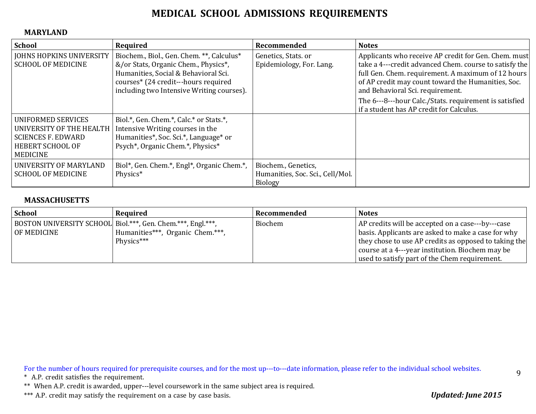#### **MARYLAND**

| <b>School</b>                                                                                                             | Required                                                                                                                                                                                                       | Recommended                                                               | <b>Notes</b>                                                                                                                                                                                                                                                                                                                                                         |
|---------------------------------------------------------------------------------------------------------------------------|----------------------------------------------------------------------------------------------------------------------------------------------------------------------------------------------------------------|---------------------------------------------------------------------------|----------------------------------------------------------------------------------------------------------------------------------------------------------------------------------------------------------------------------------------------------------------------------------------------------------------------------------------------------------------------|
| <b>JOHNS HOPKINS UNIVERSITY</b><br><b>SCHOOL OF MEDICINE</b>                                                              | Biochem., Biol., Gen. Chem. **, Calculus*<br>&/or Stats, Organic Chem., Physics*,<br>Humanities, Social & Behavioral Sci.<br>courses* (24 credit---hours required<br>including two Intensive Writing courses). | Genetics, Stats. or<br>Epidemiology, For. Lang.                           | Applicants who receive AP credit for Gen. Chem. must<br>take a 4---credit advanced Chem. course to satisfy the<br>full Gen. Chem. requirement. A maximum of 12 hours<br>of AP credit may count toward the Humanities, Soc.<br>and Behavioral Sci. requirement.<br>The 6---8---hour Calc./Stats. requirement is satisfied<br>if a student has AP credit for Calculus. |
| <b>UNIFORMED SERVICES</b><br>UNIVERSITY OF THE HEALTH<br><b>SCIENCES F. EDWARD</b><br>HEBERT SCHOOL OF<br><b>MEDICINE</b> | Biol.*, Gen. Chem.*, Calc.* or Stats.*,<br>Intensive Writing courses in the<br>Humanities*, Soc. Sci.*, Language* or<br>Psych*, Organic Chem.*, Physics*                                                       |                                                                           |                                                                                                                                                                                                                                                                                                                                                                      |
| UNIVERSITY OF MARYLAND<br><b>SCHOOL OF MEDICINE</b>                                                                       | Biol*, Gen. Chem.*, Engl*, Organic Chem.*,<br>Physics*                                                                                                                                                         | Biochem., Genetics,<br>Humanities, Soc. Sci., Cell/Mol.<br><b>Biology</b> |                                                                                                                                                                                                                                                                                                                                                                      |

### **MASSACHUSETTS**

| <b>School</b> | Required                                                    | Recommended | <b>Notes</b>                                          |
|---------------|-------------------------------------------------------------|-------------|-------------------------------------------------------|
|               | BOSTON UNIVERSITY SCHOOL Biol.***, Gen. Chem.***, Engl.***, | Biochem     | AP credits will be accepted on a case---by---case     |
| OF MEDICINE   | Humanities***, Organic Chem.***,                            |             | basis. Applicants are asked to make a case for why    |
|               | Physics***                                                  |             | they chose to use AP credits as opposed to taking the |
|               |                                                             |             | course at a 4---year institution. Biochem may be      |
|               |                                                             |             | used to satisfy part of the Chem requirement.         |

For the number of hours required for prerequisite courses, and for the most up---to---date information, please refer to the individual school websites.

\* A.P. credit satisfies the requirement.

\*\* When A.P. credit is awarded, upper---level coursework in the same subject area is required.

\*\*\* A.P. credit may satisfy the requirement on a case by case basis. *Updated: June 2015*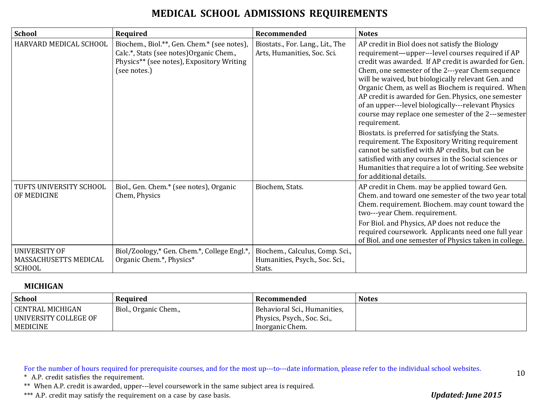| <b>School</b>                                                  | Required                                                                                                                                             | Recommended                                                                 | <b>Notes</b>                                                                                                                                                                                                                                                                                                                                                                                                                                                                                                                                                                                                                                                                                                                                                                                                          |
|----------------------------------------------------------------|------------------------------------------------------------------------------------------------------------------------------------------------------|-----------------------------------------------------------------------------|-----------------------------------------------------------------------------------------------------------------------------------------------------------------------------------------------------------------------------------------------------------------------------------------------------------------------------------------------------------------------------------------------------------------------------------------------------------------------------------------------------------------------------------------------------------------------------------------------------------------------------------------------------------------------------------------------------------------------------------------------------------------------------------------------------------------------|
| HARVARD MEDICAL SCHOOL                                         | Biochem., Biol.**, Gen. Chem.* (see notes),<br>Calc.*, Stats (see notes) Organic Chem.,<br>Physics** (see notes), Expository Writing<br>(see notes.) | Biostats., For. Lang., Lit., The<br>Arts, Humanities, Soc. Sci.             | AP credit in Biol does not satisfy the Biology<br>requirement-upper---level courses required if AP<br>credit was awarded. If AP credit is awarded for Gen.<br>Chem, one semester of the 2---year Chem sequence<br>will be waived, but biologically relevant Gen. and<br>Organic Chem, as well as Biochem is required. When<br>AP credit is awarded for Gen. Physics, one semester<br>of an upper---level biologically---relevant Physics<br>course may replace one semester of the 2---semester<br>requirement.<br>Biostats. is preferred for satisfying the Stats.<br>requirement. The Expository Writing requirement<br>cannot be satisfied with AP credits, but can be<br>satisfied with any courses in the Social sciences or<br>Humanities that require a lot of writing. See website<br>for additional details. |
| TUFTS UNIVERSITY SCHOOL<br>OF MEDICINE                         | Biol., Gen. Chem.* (see notes), Organic<br>Chem, Physics                                                                                             | Biochem, Stats.                                                             | AP credit in Chem. may be applied toward Gen.<br>Chem. and toward one semester of the two year total<br>Chem. requirement. Biochem. may count toward the<br>two---year Chem. requirement.<br>For Biol. and Physics, AP does not reduce the<br>required coursework. Applicants need one full year<br>of Biol. and one semester of Physics taken in college.                                                                                                                                                                                                                                                                                                                                                                                                                                                            |
| <b>UNIVERSITY OF</b><br>MASSACHUSETTS MEDICAL<br><b>SCHOOL</b> | Biol/Zoology,* Gen. Chem.*, College Engl.*,<br>Organic Chem.*, Physics*                                                                              | Biochem., Calculus, Comp. Sci.,<br>Humanities, Psych., Soc. Sci.,<br>Stats. |                                                                                                                                                                                                                                                                                                                                                                                                                                                                                                                                                                                                                                                                                                                                                                                                                       |

#### **MICHIGAN**

| <b>School</b>                                                  | Required              | Recommended                                                                    | <b>Notes</b> |
|----------------------------------------------------------------|-----------------------|--------------------------------------------------------------------------------|--------------|
| CENTRAL MICHIGAN<br>  UNIVERSITY COLLEGE OF<br><b>MEDICINE</b> | Biol., Organic Chem., | Behavioral Sci., Humanities,<br>Physics, Psych., Soc. Sci.,<br>Inorganic Chem. |              |

For the number of hours required for prerequisite courses, and for the most up---to---date information, please refer to the individual school websites.

\* A.P. credit satisfies the requirement.

\*\* When A.P. credit is awarded, upper---level coursework in the same subject area is required.

\*\*\* A.P. credit may satisfy the requirement on a case by case basis. *Updated: June 2015*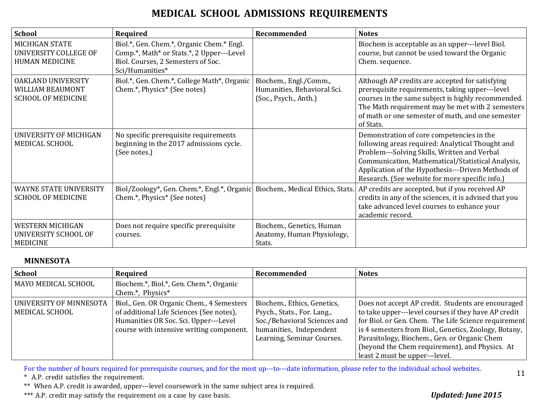| <b>School</b>                                                             | Required                                                                                                                                        | Recommended                                                                    | <b>Notes</b>                                                                                                                                                                                                                                                                                               |
|---------------------------------------------------------------------------|-------------------------------------------------------------------------------------------------------------------------------------------------|--------------------------------------------------------------------------------|------------------------------------------------------------------------------------------------------------------------------------------------------------------------------------------------------------------------------------------------------------------------------------------------------------|
| MICHIGAN STATE<br>UNIVERSITY COLLEGE OF<br><b>HUMAN MEDICINE</b>          | Biol.*, Gen. Chem.*, Organic Chem.* Engl.<br>Comp.*, Math* or Stats.*, 2 Upper---Level<br>Biol. Courses, 2 Semesters of Soc.<br>Sci/Humanities* |                                                                                | Biochem is acceptable as an upper---level Biol.<br>course, but cannot be used toward the Organic<br>Chem. sequence.                                                                                                                                                                                        |
| OAKLAND UNIVERSITY<br>WILLIAM BEAUMONT<br><b>SCHOOL OF MEDICINE</b>       | Biol.*, Gen. Chem.*, College Math*, Organic<br>Chem.*, Physics* (See notes)                                                                     | Biochem., Engl./Comm.,<br>Humanities, Behavioral Sci.<br>(Soc., Psych., Anth.) | Although AP credits are accepted for satisfying<br>prerequisite requirements, taking upper---level<br>courses in the same subject is highly recommended.<br>The Math requirement may be met with 2 semesters<br>of math or one semester of math, and one semester<br>of Stats.                             |
| UNIVERSITY OF MICHIGAN<br>MEDICAL SCHOOL                                  | No specific prerequisite requirements<br>beginning in the 2017 admissions cycle.<br>(See notes.)                                                |                                                                                | Demonstration of core competencies in the<br>following areas required: Analytical Thought and<br>Problem---Solving Skills, Written and Verbal<br>Communication, Mathematical/Statistical Analysis,<br>Application of the Hypothesis---Driven Methods of<br>Research. (See website for more specific info.) |
| <b>WAYNE STATE UNIVERSITY</b><br><b>SCHOOL OF MEDICINE</b>                | Biol/Zoology*, Gen. Chem.*, Engl.*, Organic Biochem., Medical Ethics, Stats.<br>Chem.*, Physics* (See notes)                                    |                                                                                | AP credits are accepted, but if you received AP<br>credits in any of the sciences, it is advised that you<br>take advanced level courses to enhance your<br>academic record.                                                                                                                               |
| <b>WESTERN MICHIGAN</b><br><b>UNIVERSITY SCHOOL OF</b><br><b>MEDICINE</b> | Does not require specific prerequisite<br>courses.                                                                                              | Biochem., Genetics, Human<br>Anatomy, Human Physiology,<br>Stats.              |                                                                                                                                                                                                                                                                                                            |

#### **MINNESOTA**

| <b>School</b>                               | Required                                                                                                                                                                   | Recommended                                                                                                                                         | <b>Notes</b>                                                                                                                                                                                                                                                                                                                                                    |
|---------------------------------------------|----------------------------------------------------------------------------------------------------------------------------------------------------------------------------|-----------------------------------------------------------------------------------------------------------------------------------------------------|-----------------------------------------------------------------------------------------------------------------------------------------------------------------------------------------------------------------------------------------------------------------------------------------------------------------------------------------------------------------|
| MAYO MEDICAL SCHOOL                         | Biochem.*, Biol.*, Gen. Chem.*, Organic<br>Chem.*, Physics*                                                                                                                |                                                                                                                                                     |                                                                                                                                                                                                                                                                                                                                                                 |
| UNIVERSITY OF MINNESOTA<br>  MEDICAL SCHOOL | Biol., Gen. OR Organic Chem., 4 Semesters<br>of additional Life Sciences (See notes),<br>Humanities OR Soc. Sci. Upper---Level<br>course with intensive writing component. | Biochem., Ethics, Genetics,<br>Psych., Stats., For. Lang.,<br>Soc./Behavioral Sciences and<br>humanities, Independent<br>Learning, Seminar Courses. | Does not accept AP credit. Students are encouraged<br>to take upper---level courses if they have AP credit<br>for Biol. or Gen. Chem. The Life Science requirement<br>is 4 semesters from Biol., Genetics, Zoology, Botany,<br>Parasitology, Biochem., Gen. or Organic Chem<br>(beyond the Chem requirement), and Physics. At<br>least 2 must be upper---level. |

For the number of hours required for prerequisite courses, and for the most up---to---date information, please refer to the individual school websites.

\* A.P. credit satisfies the requirement.

\*\* When A.P. credit is awarded, upper---level coursework in the same subject area is required.

\*\*\* A.P. credit may satisfy the requirement on a case by case basis. *Updated: June 2015*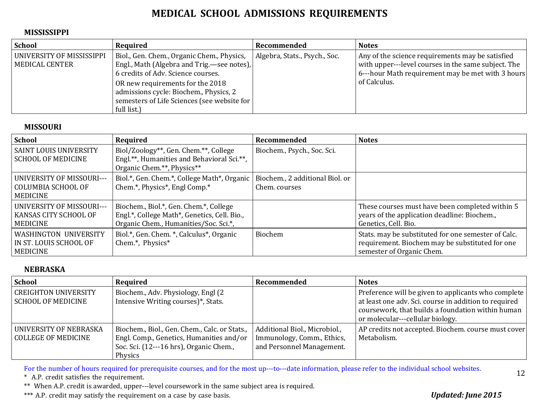#### **MISSISSIPPI**

| <b>School</b>                                 | Required                                                                                                                                                                                                                                                                     | Recommended                   | <b>Notes</b>                                                                                                                                                                 |
|-----------------------------------------------|------------------------------------------------------------------------------------------------------------------------------------------------------------------------------------------------------------------------------------------------------------------------------|-------------------------------|------------------------------------------------------------------------------------------------------------------------------------------------------------------------------|
| UNIVERSITY OF MISSISSIPPI<br>  MEDICAL CENTER | Biol., Gen. Chem., Organic Chem., Physics,<br>Engl., Math (Algebra and Trig.—see notes),<br>6 credits of Adv. Science courses.<br>OR new requirements for the 2018<br>admissions cycle: Biochem., Physics, 2<br>semesters of Life Sciences (see website for  <br>full list.) | Algebra, Stats., Psych., Soc. | Any of the science requirements may be satisfied<br>with upper---level courses in the same subject. The<br>6---hour Math requirement may be met with 3 hours<br>of Calculus. |

#### **MISSOURI**

| <b>School</b>                                                    | Required                                                                                                                        | Recommended                 | <b>Notes</b>                                                                                                                        |
|------------------------------------------------------------------|---------------------------------------------------------------------------------------------------------------------------------|-----------------------------|-------------------------------------------------------------------------------------------------------------------------------------|
| <b>SAINT LOUIS UNIVERSITY</b><br><b>SCHOOL OF MEDICINE</b>       | Biol/Zoology**, Gen. Chem.**, College<br>Engl.**, Humanities and Behavioral Sci.**,<br>Organic Chem.**, Physics**               | Biochem., Psych., Soc. Sci. |                                                                                                                                     |
| UNIVERSITY OF MISSOURI---<br>COLUMBIA SCHOOL OF<br>  MEDICINE    | Biol.*, Gen. Chem.*, College Math*, Organic   Biochem., 2 additional Biol. or<br>Chem.*, Physics*, Engl Comp.*                  | Chem. courses               |                                                                                                                                     |
| UNIVERSITY OF MISSOURI---<br>  KANSAS CITY SCHOOL OF<br>MEDICINE | Biochem., Biol.*, Gen. Chem.*, College<br>Engl.*, College Math*, Genetics, Cell. Bio.,<br>Organic Chem., Humanities/Soc. Sci.*, |                             | These courses must have been completed within 5<br>years of the application deadline: Biochem.,<br>Genetics, Cell. Bio.             |
| WASHINGTON UNIVERSITY<br>IN ST. LOUIS SCHOOL OF<br>  MEDICINE    | Biol.*, Gen. Chem. *, Calculus*, Organic<br>Chem.*, Physics*                                                                    | Biochem                     | Stats. may be substituted for one semester of Calc.<br>requirement. Biochem may be substituted for one<br>semester of Organic Chem. |

### **NEBRASKA**

| School                                        | Required                                                                                                                                        | Recommended                                                                              | <b>Notes</b>                                                                                                                                                                                          |
|-----------------------------------------------|-------------------------------------------------------------------------------------------------------------------------------------------------|------------------------------------------------------------------------------------------|-------------------------------------------------------------------------------------------------------------------------------------------------------------------------------------------------------|
| CREIGHTON UNIVERSITY<br>SCHOOL OF MEDICINE    | Biochem., Adv. Physiology, Engl (2)<br>Intensive Writing courses)*, Stats.                                                                      |                                                                                          | Preference will be given to applicants who complete<br>at least one adv. Sci. course in addition to required<br>coursework, that builds a foundation within human<br>or molecular---cellular biology. |
| UNIVERSITY OF NEBRASKA<br>COLLEGE OF MEDICINE | Biochem., Biol., Gen. Chem., Calc. or Stats.,<br>Engl. Comp., Genetics, Humanities and/or<br>Soc. Sci. (12---16 hrs), Organic Chem.,<br>Physics | Additional Biol., Microbiol.,<br>Immunology, Comm., Ethics,<br>and Personnel Management. | AP credits not accepted. Biochem. course must cover<br>Metabolism.                                                                                                                                    |

For the number of hours required for prerequisite courses, and for the most up---to---date information, please refer to the individual school websites.

\* A.P. credit satisfies the requirement.

\*\* When A.P. credit is awarded, upper---level coursework in the same subject area is required.

\*\*\* A.P. credit may satisfy the requirement on a case by case basis. *Updated: June 2015*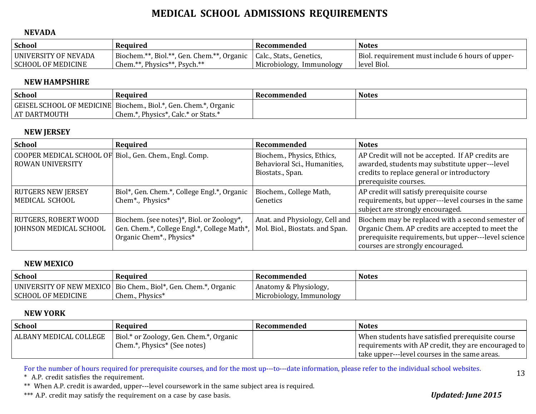#### **NEVADA**

| <b>School</b>                                     | Required                                                                        | Recommended                                             | <b>Notes</b>                                                         |
|---------------------------------------------------|---------------------------------------------------------------------------------|---------------------------------------------------------|----------------------------------------------------------------------|
| UNIVERSITY OF NEVADA<br><b>SCHOOL OF MEDICINE</b> | Biochem.**, Biol.**, Gen. Chem.**,<br>, Organic<br>Chem.**, Physics**, Psych.** | Calc., Stats., Genetics,<br>Microbiology,<br>Immunology | Biol.<br>. requirement must include 6 hours of upper-<br>level Biol. |

#### **NEWHAMPSHIRE**

| <b>School</b>       | Required                                                         | Recommended | <b>Notes</b> |
|---------------------|------------------------------------------------------------------|-------------|--------------|
|                     | GEISEL SCHOOL OF MEDICINE Biochem., Biol.*, Gen. Chem.*, Organic |             |              |
| <b>AT DARTMOUTH</b> | Chem.*, Physics*, Calc.* or Stats.*                              |             |              |

### **NEW JERSEY**

| <b>School</b>                                                                      | Required                                                                                                               | Recommended                                                                    | <b>Notes</b>                                                                                                                                                                                       |
|------------------------------------------------------------------------------------|------------------------------------------------------------------------------------------------------------------------|--------------------------------------------------------------------------------|----------------------------------------------------------------------------------------------------------------------------------------------------------------------------------------------------|
| COOPER MEDICAL SCHOOL OF Biol., Gen. Chem., Engl. Comp.<br><b>ROWAN UNIVERSITY</b> |                                                                                                                        | Biochem., Physics, Ethics,<br>Behavioral Sci., Humanities,<br>Biostats., Span. | AP Credit will not be accepted. If AP credits are<br>awarded, students may substitute upper---level<br>credits to replace general or introductory<br>prerequisite courses.                         |
| <b>RUTGERS NEW JERSEY</b><br>MEDICAL SCHOOL                                        | Biol*, Gen. Chem.*, College Engl.*, Organic<br>Chem*., Physics*                                                        | Biochem., College Math,<br>Genetics                                            | AP credit will satisfy prerequisite course<br>requirements, but upper---level courses in the same<br>subject are strongly encouraged.                                                              |
| RUTGERS, ROBERT WOOD<br><b>JOHNSON MEDICAL SCHOOL</b>                              | Biochem. (see notes)*, Biol. or Zoology*,<br>Gen. Chem.*, College Engl.*, College Math*,  <br>Organic Chem*., Physics* | Anat. and Physiology, Cell and<br>Mol. Biol., Biostats. and Span.              | Biochem may be replaced with a second semester of<br>Organic Chem. AP credits are accepted to meet the<br>prerequisite requirements, but upper---level science<br>courses are strongly encouraged. |

#### **NEW MEXICO**

| <b>School</b>            | Required                                    | Recommended              | Notes |
|--------------------------|---------------------------------------------|--------------------------|-------|
| UNIVERSITY OF NEW MEXICO | Bio Chem., Biol*, Gen. Chem.*,<br>, Organic | Anatomy & Physiology,    |       |
| ' SCHOOL OF MEDICINE     | Chem., Physics*                             | Microbiology, Immunology |       |

#### **NEW YORK**

| School                 | Required                                                                | Recommended | <b>Notes</b>                                                                                                                                             |
|------------------------|-------------------------------------------------------------------------|-------------|----------------------------------------------------------------------------------------------------------------------------------------------------------|
| ALBANY MEDICAL COLLEGE | Biol.* or Zoology, Gen. Chem.*, Organic<br>Chem.*, Physics* (See notes) |             | When students have satisfied prerequisite course<br>requirements with AP credit, they are encouraged to<br>take upper---level courses in the same areas. |

For the number of hours required for prerequisite courses, and for the most up---to---date information, please refer to the individual school websites.

\* A.P. credit satisfies the requirement.

\*\* When A.P. credit is awarded, upper---level coursework in the same subject area is required.

\*\*\* A.P. credit may satisfy the requirement on a case by case basis. *Updated: June 2015*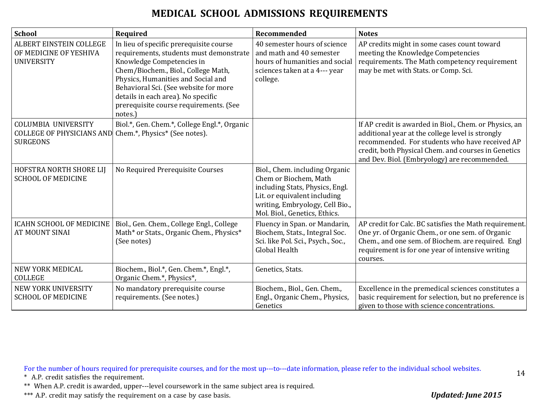| <b>School</b>                                                                     | Required                                                                                                                                                                                                                                                                                                                        | Recommended                                                                                                                                                                                    | <b>Notes</b>                                                                                                                                                                                                                                                        |
|-----------------------------------------------------------------------------------|---------------------------------------------------------------------------------------------------------------------------------------------------------------------------------------------------------------------------------------------------------------------------------------------------------------------------------|------------------------------------------------------------------------------------------------------------------------------------------------------------------------------------------------|---------------------------------------------------------------------------------------------------------------------------------------------------------------------------------------------------------------------------------------------------------------------|
| ALBERT EINSTEIN COLLEGE<br>OF MEDICINE OF YESHIVA<br><b>UNIVERSITY</b>            | In lieu of specific prerequisite course<br>requirements, students must demonstrate<br>Knowledge Competencies in<br>Chem/Biochem., Biol., College Math,<br>Physics, Humanities and Social and<br>Behavioral Sci. (See website for more<br>details in each area). No specific<br>prerequisite course requirements. (See<br>notes. | 40 semester hours of science<br>and math and 40 semester<br>hours of humanities and social<br>sciences taken at a 4--- year<br>college.                                                        | AP credits might in some cases count toward<br>meeting the Knowledge Competencies<br>requirements. The Math competency requirement<br>may be met with Stats. or Comp. Sci.                                                                                          |
| <b>COLUMBIA UNIVERSITY</b><br><b>COLLEGE OF PHYSICIANS AND</b><br><b>SURGEONS</b> | Biol.*, Gen. Chem.*, College Engl.*, Organic<br>Chem.*, Physics* (See notes).                                                                                                                                                                                                                                                   |                                                                                                                                                                                                | If AP credit is awarded in Biol., Chem. or Physics, an<br>additional year at the college level is strongly<br>recommended. For students who have received AP<br>credit, both Physical Chem. and courses in Genetics<br>and Dev. Biol. (Embryology) are recommended. |
| HOFSTRA NORTH SHORE LIJ<br><b>SCHOOL OF MEDICINE</b>                              | No Required Prerequisite Courses                                                                                                                                                                                                                                                                                                | Biol., Chem. including Organic<br>Chem or Biochem, Math<br>including Stats, Physics, Engl.<br>Lit. or equivalent including<br>writing, Embryology, Cell Bio.,<br>Mol. Biol., Genetics, Ethics. |                                                                                                                                                                                                                                                                     |
| <b>ICAHN SCHOOL OF MEDICINE</b><br><b>AT MOUNT SINAI</b>                          | Biol., Gen. Chem., College Engl., College<br>Math* or Stats., Organic Chem., Physics*<br>(See notes)                                                                                                                                                                                                                            | Fluency in Span. or Mandarin,<br>Biochem, Stats., Integral Soc.<br>Sci. like Pol. Sci., Psych., Soc.,<br>Global Health                                                                         | AP credit for Calc. BC satisfies the Math requirement.<br>One yr. of Organic Chem., or one sem. of Organic<br>Chem., and one sem. of Biochem. are required. Engl<br>requirement is for one year of intensive writing<br>courses.                                    |
| <b>NEW YORK MEDICAL</b><br><b>COLLEGE</b>                                         | Biochem., Biol.*, Gen. Chem.*, Engl.*,<br>Organic Chem.*, Physics*,                                                                                                                                                                                                                                                             | Genetics, Stats.                                                                                                                                                                               |                                                                                                                                                                                                                                                                     |
| NEW YORK UNIVERSITY<br><b>SCHOOL OF MEDICINE</b>                                  | No mandatory prerequisite course<br>requirements. (See notes.)                                                                                                                                                                                                                                                                  | Biochem., Biol., Gen. Chem.,<br>Engl., Organic Chem., Physics,<br>Genetics                                                                                                                     | Excellence in the premedical sciences constitutes a<br>basic requirement for selection, but no preference is<br>given to those with science concentrations.                                                                                                         |

For the number of hours required for prerequisite courses, and for the most up---to---date information, please refer to the individual school websites.

\* A.P. credit satisfies the requirement.

\*\* When A.P. credit is awarded, upper---level coursework in the same subject area is required.

\*\*\* A.P. credit may satisfy the requirement on a case by case basis. *Updated: June 2015*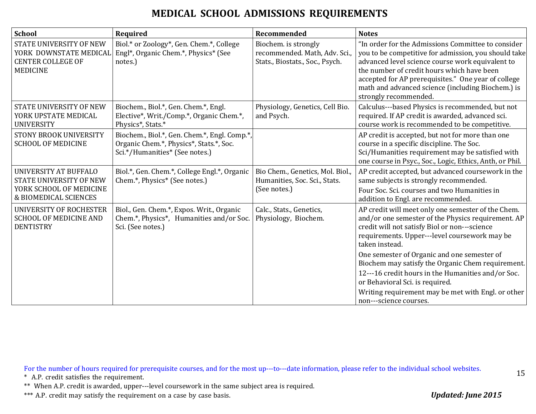| School                                                                                                      | Required                                                                                                                  | Recommended                                                                              | <b>Notes</b>                                                                                                                                                                                                                                                                                                                                      |
|-------------------------------------------------------------------------------------------------------------|---------------------------------------------------------------------------------------------------------------------------|------------------------------------------------------------------------------------------|---------------------------------------------------------------------------------------------------------------------------------------------------------------------------------------------------------------------------------------------------------------------------------------------------------------------------------------------------|
| STATE UNIVERSITY OF NEW<br><b>CENTER COLLEGE OF</b><br><b>MEDICINE</b>                                      | Biol.* or Zoology*, Gen. Chem.*, College<br>YORK DOWNSTATE MEDICAL Engl*, Organic Chem.*, Physics* (See<br>notes.)        | Biochem. is strongly<br>recommended. Math, Adv. Sci.,<br>Stats., Biostats., Soc., Psych. | "In order for the Admissions Committee to consider<br>you to be competitive for admission, you should take<br>advanced level science course work equivalent to<br>the number of credit hours which have been<br>accepted for AP prerequisites." One year of college<br>math and advanced science (including Biochem.) is<br>strongly recommended. |
| STATE UNIVERSITY OF NEW<br>YORK UPSTATE MEDICAL<br><b>UNIVERSITY</b>                                        | Biochem., Biol.*, Gen. Chem.*, Engl.<br>Elective*, Writ./Comp.*, Organic Chem.*,<br>Physics*, Stats.*                     | Physiology, Genetics, Cell Bio.<br>and Psych.                                            | Calculus---based Physics is recommended, but not<br>required. If AP credit is awarded, advanced sci.<br>course work is recommended to be competitive.                                                                                                                                                                                             |
| <b>STONY BROOK UNIVERSITY</b><br><b>SCHOOL OF MEDICINE</b>                                                  | Biochem., Biol.*, Gen. Chem.*, Engl. Comp.*,<br>Organic Chem.*, Physics*, Stats.*, Soc.<br>Sci.*/Humanities* (See notes.) |                                                                                          | AP credit is accepted, but not for more than one<br>course in a specific discipline. The Soc.<br>Sci/Humanities requirement may be satisfied with<br>one course in Psyc., Soc., Logic, Ethics, Anth, or Phil.                                                                                                                                     |
| UNIVERSITY AT BUFFALO<br><b>STATE UNIVERSITY OF NEW</b><br>YORK SCHOOL OF MEDICINE<br>& BIOMEDICAL SCIENCES | Biol.*, Gen. Chem.*, College Engl.*, Organic<br>Chem.*, Physics* (See notes.)                                             | Bio Chem., Genetics, Mol. Biol.,<br>Humanities, Soc. Sci., Stats.<br>(See notes.)        | AP credit accepted, but advanced coursework in the<br>same subjects is strongly recommended.<br>Four Soc. Sci. courses and two Humanities in<br>addition to Engl. are recommended.                                                                                                                                                                |
| <b>UNIVERSITY OF ROCHESTER</b><br><b>SCHOOL OF MEDICINE AND</b><br><b>DENTISTRY</b>                         | Biol., Gen. Chem.*, Expos. Writ., Organic<br>Chem.*, Physics*, Humanities and/or Soc.<br>Sci. (See notes.)                | Calc., Stats., Genetics,<br>Physiology, Biochem.                                         | AP credit will meet only one semester of the Chem.<br>and/or one semester of the Physics requirement. AP<br>credit will not satisfy Biol or non---science<br>requirements. Upper---level coursework may be<br>taken instead.                                                                                                                      |
|                                                                                                             |                                                                                                                           |                                                                                          | One semester of Organic and one semester of<br>Biochem may satisfy the Organic Chem requirement.                                                                                                                                                                                                                                                  |
|                                                                                                             |                                                                                                                           |                                                                                          | 12---16 credit hours in the Humanities and/or Soc.<br>or Behavioral Sci. is required.                                                                                                                                                                                                                                                             |
|                                                                                                             |                                                                                                                           |                                                                                          | Writing requirement may be met with Engl. or other<br>non---science courses.                                                                                                                                                                                                                                                                      |

For the number of hours required for prerequisite courses, and for the most up---to---date information, please refer to the individual school websites.

\* A.P. credit satisfies the requirement.

\*\* When A.P. credit is awarded, upper---level coursework in the same subject area is required.

\*\*\* A.P. credit may satisfy the requirement on a case by case basis. *Updated: June 2015*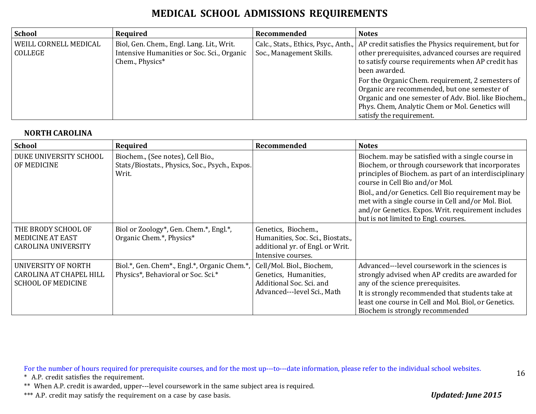| School                           | Required                                                                                                   | Recommended              | <b>Notes</b>                                                                                                                                                                                                                              |
|----------------------------------|------------------------------------------------------------------------------------------------------------|--------------------------|-------------------------------------------------------------------------------------------------------------------------------------------------------------------------------------------------------------------------------------------|
| WEILL CORNELL MEDICAL<br>COLLEGE | Biol, Gen. Chem., Engl. Lang. Lit., Writ.<br>Intensive Humanities or Soc. Sci., Organic<br>Chem., Physics* | Soc., Management Skills. | Calc., Stats., Ethics, Psyc., Anth., AP credit satisfies the Physics requirement, but for<br>other prerequisites, advanced courses are required<br>to satisfy course requirements when AP credit has<br>been awarded.                     |
|                                  |                                                                                                            |                          | For the Organic Chem. requirement, 2 semesters of<br>Organic are recommended, but one semester of<br>Organic and one semester of Adv. Biol. like Biochem.,<br>Phys. Chem, Analytic Chem or Mol. Genetics will<br>satisfy the requirement. |

#### **NORTH CAROLINA**

| <b>School</b>                                                                      | Required                                                                                     | Recommended                                                                                                        | <b>Notes</b>                                                                                                                                                                                                                                                                           |
|------------------------------------------------------------------------------------|----------------------------------------------------------------------------------------------|--------------------------------------------------------------------------------------------------------------------|----------------------------------------------------------------------------------------------------------------------------------------------------------------------------------------------------------------------------------------------------------------------------------------|
| DUKE UNIVERSITY SCHOOL<br>OF MEDICINE                                              | Biochem., (See notes), Cell Bio.,<br>Stats/Biostats., Physics, Soc., Psych., Expos.<br>Writ. |                                                                                                                    | Biochem. may be satisfied with a single course in<br>Biochem, or through coursework that incorporates<br>principles of Biochem. as part of an interdisciplinary<br>course in Cell Bio and/or Mol.                                                                                      |
|                                                                                    |                                                                                              |                                                                                                                    | Biol., and/or Genetics. Cell Bio requirement may be<br>met with a single course in Cell and/or Mol. Biol.<br>and/or Genetics. Expos. Writ. requirement includes<br>but is not limited to Engl. courses.                                                                                |
| THE BRODY SCHOOL OF<br><b>MEDICINE AT EAST</b><br><b>CAROLINA UNIVERSITY</b>       | Biol or Zoology*, Gen. Chem.*, Engl.*,<br>Organic Chem.*, Physics*                           | Genetics, Biochem.,<br>Humanities, Soc. Sci., Biostats.,<br>additional yr. of Engl. or Writ.<br>Intensive courses. |                                                                                                                                                                                                                                                                                        |
| UNIVERSITY OF NORTH<br><b>CAROLINA AT CHAPEL HILL</b><br><b>SCHOOL OF MEDICINE</b> | Biol.*, Gen. Chem*., Engl.*, Organic Chem.*,<br>Physics*, Behavioral or Soc. Sci.*           | Cell/Mol. Biol., Biochem,<br>Genetics, Humanities,<br>Additional Soc. Sci. and<br>Advanced---level Sci., Math      | Advanced---level coursework in the sciences is<br>strongly advised when AP credits are awarded for<br>any of the science prerequisites.<br>It is strongly recommended that students take at<br>least one course in Cell and Mol. Biol, or Genetics.<br>Biochem is strongly recommended |

For the number of hours required for prerequisite courses, and for the most up---to---date information, please refer to the individual school websites.

\* A.P. credit satisfies the requirement.

\*\* When A.P. credit is awarded, upper---level coursework in the same subject area is required.

\*\*\* A.P. credit may satisfy the requirement on a case by case basis. *Updated: June 2015*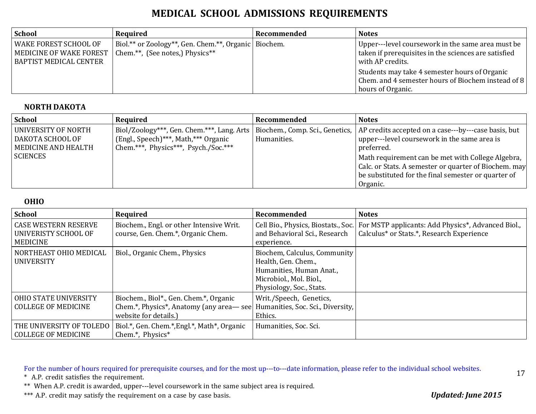| School                                                                            | Required                                                                                  | Recommended | <b>Notes</b>                                                                                                                  |
|-----------------------------------------------------------------------------------|-------------------------------------------------------------------------------------------|-------------|-------------------------------------------------------------------------------------------------------------------------------|
| <b>WAKE FOREST SCHOOL OF</b><br>MEDICINE OF WAKE FOREST<br>BAPTIST MEDICAL CENTER | Biol.** or Zoology**, Gen. Chem.**, Organic   Biochem.<br>Chem.**, (See notes,) Physics** |             | Upper---level coursework in the same area must be<br>taken if prerequisites in the sciences are satisfied<br>with AP credits. |
|                                                                                   |                                                                                           |             | Students may take 4 semester hours of Organic<br>Chem. and 4 semester hours of Biochem instead of 8<br>hours of Organic.      |

#### **NORTH DAKOTA**

| <b>School</b>                                                                     | Required                                                                     | Recommended | <b>Notes</b>                                                                                                                                                                                                                                                                                                                                                                        |
|-----------------------------------------------------------------------------------|------------------------------------------------------------------------------|-------------|-------------------------------------------------------------------------------------------------------------------------------------------------------------------------------------------------------------------------------------------------------------------------------------------------------------------------------------------------------------------------------------|
| UNIVERSITY OF NORTH<br>DAKOTA SCHOOL OF<br>MEDICINE AND HEALTH<br><b>SCIENCES</b> | (Engl., Speech)***, Math,*** Organic<br>Chem.***, Physics***, Psych./Soc.*** | Humanities. | Biol/Zoology***, Gen. Chem.***, Lang. Arts   Biochem., Comp. Sci., Genetics,  AP credits accepted on a case---by---case basis, but<br>upper---level coursework in the same area is<br>preferred.<br>Math requirement can be met with College Algebra,  <br>Calc. or Stats. A semester or quarter of Biochem. may<br>be substituted for the final semester or quarter of<br>Organic. |

#### **OHIO**

| School                                                                 | Required                                                                                                                                     | Recommended                                                                                                                            | <b>Notes</b>                                                                                                                          |
|------------------------------------------------------------------------|----------------------------------------------------------------------------------------------------------------------------------------------|----------------------------------------------------------------------------------------------------------------------------------------|---------------------------------------------------------------------------------------------------------------------------------------|
| <b>CASE WESTERN RESERVE</b><br>UNIVERISTY SCHOOL OF<br><b>MEDICINE</b> | Biochem., Engl. or other Intensive Writ.<br>course, Gen. Chem.*, Organic Chem.                                                               | and Behavioral Sci., Research<br>experience.                                                                                           | Cell Bio., Physics, Biostats., Soc.   For MSTP applicants: Add Physics*, Advanced Biol.,<br>Calculus* or Stats.*, Research Experience |
| NORTHEAST OHIO MEDICAL<br>UNIVERSITY                                   | Biol., Organic Chem., Physics                                                                                                                | Biochem, Calculus, Community<br>Health, Gen. Chem.,<br>Humanities, Human Anat.,<br>Microbiol., Mol. Biol.,<br>Physiology, Soc., Stats. |                                                                                                                                       |
| <b>OHIO STATE UNIVERSITY</b><br><b>COLLEGE OF MEDICINE</b>             | Biochem., Biol*., Gen. Chem.*, Organic<br>Chem.*, Physics*, Anatomy (any area—see Humanities, Soc. Sci., Diversity,<br>website for details.) | Writ./Speech, Genetics,<br>Ethics.                                                                                                     |                                                                                                                                       |
| THE UNIVERSITY OF TOLEDO<br><b>COLLEGE OF MEDICINE</b>                 | Biol.*, Gen. Chem.*, Engl.*, Math*, Organic<br>Chem.*, Physics*                                                                              | Humanities, Soc. Sci.                                                                                                                  |                                                                                                                                       |

For the number of hours required for prerequisite courses, and for the most up---to---date information, please refer to the individual school websites.

\* A.P. credit satisfies the requirement.

\*\* When A.P. credit is awarded, upper---level coursework in the same subject area is required.

\*\*\* A.P. credit may satisfy the requirement on a case by case basis. *Updated: June 2015*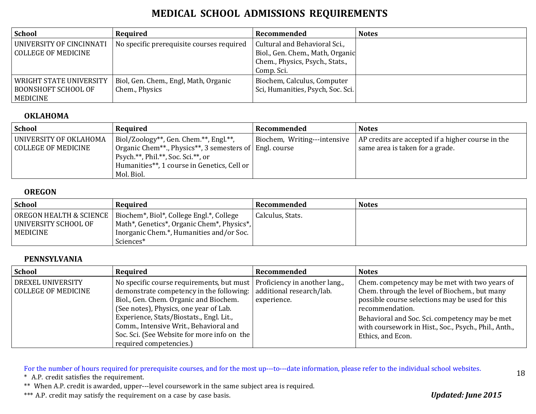| <b>School</b>                                                              | Required                                                | Recommended                                                                                                        | <b>Notes</b> |
|----------------------------------------------------------------------------|---------------------------------------------------------|--------------------------------------------------------------------------------------------------------------------|--------------|
| UNIVERSITY OF CINCINNATI<br>COLLEGE OF MEDICINE                            | No specific prerequisite courses required               | Cultural and Behavioral Sci.,<br>Biol., Gen. Chem., Math, Organic<br>Chem., Physics, Psych., Stats.,<br>Comp. Sci. |              |
| <b>WRIGHT STATE UNIVERSITY</b><br>  BOONSHOFT SCHOOL OF<br><b>MEDICINE</b> | Biol, Gen. Chem., Engl, Math, Organic<br>Chem., Physics | Biochem, Calculus, Computer<br>Sci, Humanities, Psych, Soc. Sci.                                                   |              |

#### **OKLAHOMA**

| <b>School</b>                                 | Required                                                                                                                                                                                                   | Recommended                  | <b>Notes</b>                                                                         |
|-----------------------------------------------|------------------------------------------------------------------------------------------------------------------------------------------------------------------------------------------------------------|------------------------------|--------------------------------------------------------------------------------------|
| UNIVERSITY OF OKLAHOMA<br>COLLEGE OF MEDICINE | Biol/Zoology**, Gen. Chem.**, Engl.**,<br>  Organic Chem**., Physics**, 3 semesters of   Engl. course<br>Psych.**, Phil.**, Soc. Sci.**, or<br>Humanities**, 1 course in Genetics, Cell or  <br>Mol. Biol. | Biochem, Writing---intensive | AP credits are accepted if a higher course in the<br>same area is taken for a grade. |

#### **OREGON**

| <b>School</b>                                   | Required                                                                                                                      | Recommended      | <b>Notes</b> |
|-------------------------------------------------|-------------------------------------------------------------------------------------------------------------------------------|------------------|--------------|
| OREGON HEALTH & SCIENCE<br>UNIVERSITY SCHOOL OF | Biochem <sup>*</sup> , Biol <sup>*</sup> , College Engl. <sup>*</sup> , College<br>Math*, Genetics*, Organic Chem*, Physics*, | Calculus, Stats. |              |
| MEDICINE                                        | Inorganic Chem.*, Humanities and/or Soc.<br>Sciences*                                                                         |                  |              |

#### **PENNSYLVANIA**

| School                                          | Required                                                                                                                                                                                                                                                                                                                                                                                            | Recommended | <b>Notes</b>                                                                                                                                                                                                                                                                                         |
|-------------------------------------------------|-----------------------------------------------------------------------------------------------------------------------------------------------------------------------------------------------------------------------------------------------------------------------------------------------------------------------------------------------------------------------------------------------------|-------------|------------------------------------------------------------------------------------------------------------------------------------------------------------------------------------------------------------------------------------------------------------------------------------------------------|
| <b>DREXEL UNIVERSITY</b><br>COLLEGE OF MEDICINE | No specific course requirements, but must   Proficiency in another lang.<br>demonstrate competency in the following:   additional research/lab.<br>Biol., Gen. Chem. Organic and Biochem.<br>(See notes), Physics, one year of Lab.<br>Experience, Stats/Biostats., Engl. Lit.,<br>Comm., Intensive Writ., Behavioral and<br>Soc. Sci. (See Website for more info on the<br>required competencies.) | experience. | Chem. competency may be met with two years of<br>Chem. through the level of Biochem., but many<br>possible course selections may be used for this<br>recommendation.<br>Behavioral and Soc. Sci. competency may be met<br>with coursework in Hist., Soc., Psych., Phil., Anth.,<br>Ethics, and Econ. |

For the number of hours required for prerequisite courses, and for the most up---to---date information, please refer to the individual school websites.

\* A.P. credit satisfies the requirement.

\*\* When A.P. credit is awarded, upper---level coursework in the same subject area is required.

\*\*\* A.P. credit may satisfy the requirement on a case by case basis. *Updated: June 2015*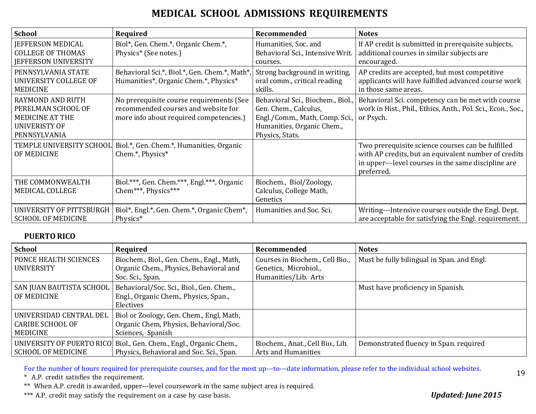| <b>School</b>                                                                                                   | Required                                                                                                                   | Recommended                                                                                                                                   | <b>Notes</b>                                                                                                                                                                   |
|-----------------------------------------------------------------------------------------------------------------|----------------------------------------------------------------------------------------------------------------------------|-----------------------------------------------------------------------------------------------------------------------------------------------|--------------------------------------------------------------------------------------------------------------------------------------------------------------------------------|
| <b>IEFFERSON MEDICAL</b><br><b>COLLEGE OF THOMAS</b><br>JEFFERSON UNIVERSITY                                    | Biol*, Gen. Chem.*, Organic Chem.*,<br>Physics* (See notes.)                                                               | Humanities, Soc. and<br>Behavioral Sci., Intensive Writ.<br>courses.                                                                          | If AP credit is submitted in prerequisite subjects,<br>additional courses in similar subjects are<br>encouraged.                                                               |
| PENNSYLVANIA STATE<br>UNIVERSITY COLLEGE OF<br><b>MEDICINE</b>                                                  | Behavioral Sci.*, Biol.*, Gen. Chem.*, Math*, Strong background in writing,<br>Humanities*, Organic Chem.*, Physics*       | oral comm., critical reading<br>skills.                                                                                                       | AP credits are accepted, but most competitive<br>applicants will have fulfilled advanced course work<br>in those same areas.                                                   |
| <b>RAYMOND AND RUTH</b><br>PERELMAN SCHOOL OF<br><b>MEDICINE AT THE</b><br><b>UNIVERISTY OF</b><br>PENNSYLVANIA | No prerequisite course requirements (See<br>recommended courses and website for<br>more info about required competencies.) | Behavioral Sci., Biochem., Biol.,<br>Gen. Chem., Calculus,<br>Engl./Comm., Math, Comp. Sci.,<br>Humanities, Organic Chem.,<br>Physics, Stats. | Behavioral Sci. competency can be met with course<br>work in Hist., Phil., Ethics, Anth., Pol. Sci., Econ., Soc.,<br>or Psych.                                                 |
| OF MEDICINE                                                                                                     | TEMPLE UNIVERSITY SCHOOL Biol.*, Gen. Chem.*, Humanities, Organic<br>Chem.*, Physics*                                      |                                                                                                                                               | Two prerequisite science courses can be fulfilled<br>with AP credits, but an equivalent number of credits<br>in upper---level courses in the same discipline are<br>preferred. |
| THE COMMONWEALTH<br>MEDICAL COLLEGE                                                                             | Biol.***, Gen. Chem.***, Engl.***, Organic<br>Chem***, Physics***                                                          | Biochem., Biol/Zoology,<br>Calculus, College Math,<br>Genetics                                                                                |                                                                                                                                                                                |
| UNIVERSITY OF PITTSBURGH<br><b>SCHOOL OF MEDICINE</b>                                                           | Biol*, Engl.*, Gen. Chem.*, Organic Chem*,<br>Physics*                                                                     | Humanities and Soc. Sci.                                                                                                                      | Writing---Intensive courses outside the Engl. Dept.<br>are acceptable for satisfying the Engl. requirement.                                                                    |

#### **PUERTO RICO**

| School                                                                | Required                                                                                                | Recommended                                                                      | <b>Notes</b>                               |
|-----------------------------------------------------------------------|---------------------------------------------------------------------------------------------------------|----------------------------------------------------------------------------------|--------------------------------------------|
| PONCE HEALTH SCIENCES<br>UNIVERSITY                                   | Biochem., Biol., Gen. Chem., Engl., Math,<br>Organic Chem., Physics, Behavioral and<br>Soc. Sci., Span. | Courses in Biochem., Cell Bio.,<br>Genetics, Microbiol.,<br>Humanities/Lib. Arts | Must be fully bilingual in Span. and Engl. |
| SAN JUAN BAUTISTA SCHOOL<br>OF MEDICINE                               | Behavioral/Soc. Sci., Biol., Gen. Chem.,<br>Engl., Organic Chem., Physics, Span.,<br>Electives          |                                                                                  | Must have proficiency in Spanish.          |
| UNIVERSIDAD CENTRAL DEL<br><b>CARIBE SCHOOL OF</b><br><b>MEDICINE</b> | Biol or Zoology, Gen. Chem., Engl, Math,<br>Organic Chem, Physics, Behavioral/Soc.<br>Sciences, Spanish |                                                                                  |                                            |
| UNIVERSITY OF PUERTO RICO<br><b>SCHOOL OF MEDICINE</b>                | Biol., Gen. Chem., Engl., Organic Chem.,<br>Physics, Behavioral and Soc. Sci., Span.                    | Biochem., Anat., Cell Bio., Lib.<br>Arts and Humanities                          | Demonstrated fluency in Span. required     |

For the number of hours required for prerequisite courses, and for the most up---to---date information, please refer to the individual school websites.

\* A.P. credit satisfies the requirement.

\*\* When A.P. credit is awarded, upper---level coursework in the same subject area is required.

\*\*\* A.P. credit may satisfy the requirement on a case by case basis. *Updated: June 2015*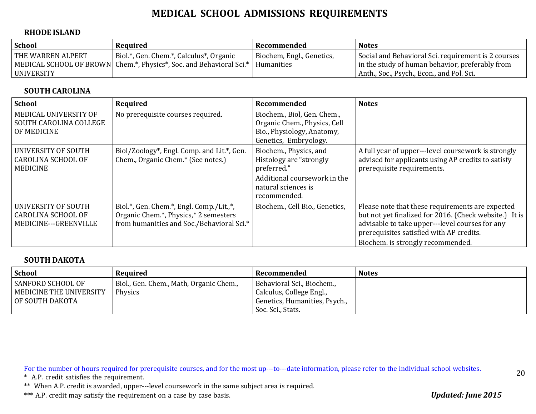#### **RHODE ISLAND**

| <b>School</b>     | Required                                                                                                                        | ' Recommended             | <b>Notes</b>                                                                                           |
|-------------------|---------------------------------------------------------------------------------------------------------------------------------|---------------------------|--------------------------------------------------------------------------------------------------------|
| THE WARREN ALPERT | Biol.*, Gen. Chem.*, Calculus*, Organic<br>  MEDICAL SCHOOL OF BROWN   Chem.*, Physics*, Soc. and Behavioral Sci.*   Humanities | Biochem, Engl., Genetics, | Social and Behavioral Sci. requirement is 2 courses<br>in the study of human behavior, preferably from |
| UNIVERSITY        |                                                                                                                                 |                           | Anth., Soc., Psych., Econ., and Pol. Sci.                                                              |

#### **SOUTH CAR**O**LINA**

| <b>School</b>                                                                    | Required                                                                                                                       | Recommended                                                                                                                             | <b>Notes</b>                                                                                                                                                                                                                                   |
|----------------------------------------------------------------------------------|--------------------------------------------------------------------------------------------------------------------------------|-----------------------------------------------------------------------------------------------------------------------------------------|------------------------------------------------------------------------------------------------------------------------------------------------------------------------------------------------------------------------------------------------|
| MEDICAL UNIVERSITY OF<br>SOUTH CAROLINA COLLEGE<br>OF MEDICINE                   | No prerequisite courses required.                                                                                              | Biochem., Biol, Gen. Chem.,<br>Organic Chem., Physics, Cell<br>Bio., Physiology, Anatomy,<br>Genetics, Embryology.                      |                                                                                                                                                                                                                                                |
| UNIVERSITY OF SOUTH<br><b>CAROLINA SCHOOL OF</b><br><b>MEDICINE</b>              | Biol/Zoology*, Engl. Comp. and Lit.*, Gen.<br>Chem., Organic Chem.* (See notes.)                                               | Biochem., Physics, and<br>Histology are "strongly<br>preferred."<br>Additional coursework in the<br>natural sciences is<br>recommended. | A full year of upper---level coursework is strongly<br>advised for applicants using AP credits to satisfy<br>prerequisite requirements.                                                                                                        |
| <b>UNIVERSITY OF SOUTH</b><br><b>CAROLINA SCHOOL OF</b><br>MEDICINE---GREENVILLE | Biol.*, Gen. Chem.*, Engl. Comp./Lit.,*,<br>Organic Chem.*, Physics,* 2 semesters<br>from humanities and Soc./Behavioral Sci.* | Biochem., Cell Bio., Genetics,                                                                                                          | Please note that these requirements are expected<br>but not yet finalized for 2016. (Check website.) It is<br>advisable to take upper---level courses for any<br>prerequisites satisfied with AP credits.<br>Biochem. is strongly recommended. |

#### **SOUTH DAKOTA**

| <b>School</b>                                                          | Required                                           | Recommended                                                                                                               | <b>Notes</b> |
|------------------------------------------------------------------------|----------------------------------------------------|---------------------------------------------------------------------------------------------------------------------------|--------------|
| <b>SANFORD SCHOOL OF</b><br>MEDICINE THE UNIVERSITY<br>OF SOUTH DAKOTA | Biol., Gen. Chem., Math, Organic Chem.,<br>Physics | Behavioral Sci., Biochem.,<br><sup>1</sup> Calculus, College Engl.,<br>Genetics, Humanities, Psych.,<br>Soc. Sci., Stats. |              |

For the number of hours required for prerequisite courses, and for the most up---to---date information, please refer to the individual school websites.

\* A.P. credit satisfies the requirement.

\*\* When A.P. credit is awarded, upper---level coursework in the same subject area is required.

\*\*\* A.P. credit may satisfy the requirement on a case by case basis. *Updated: June 2015*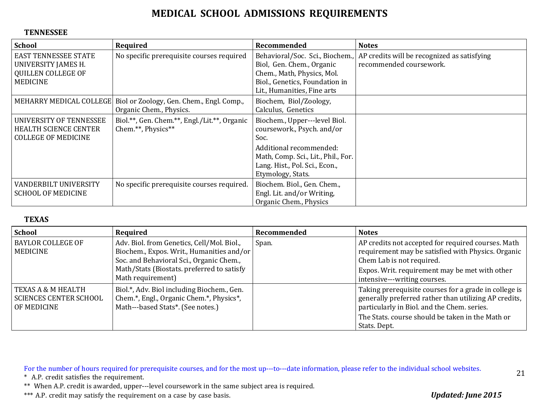#### **TENNESSEE**

| <b>School</b>                                                                                             | Required                                                                                       | Recommended                                                                                                                                                                                  | <b>Notes</b>                                                           |
|-----------------------------------------------------------------------------------------------------------|------------------------------------------------------------------------------------------------|----------------------------------------------------------------------------------------------------------------------------------------------------------------------------------------------|------------------------------------------------------------------------|
| <b>EAST TENNESSEE STATE</b><br><b>UNIVERSITY JAMES H.</b><br><b>QUILLEN COLLEGE OF</b><br><b>MEDICINE</b> | No specific prerequisite courses required                                                      | Behavioral/Soc. Sci., Biochem.,<br>Biol, Gen. Chem., Organic<br>Chem., Math, Physics, Mol.<br>Biol., Genetics, Foundation in<br>Lit., Humanities, Fine arts                                  | AP credits will be recognized as satisfying<br>recommended coursework. |
|                                                                                                           | MEHARRY MEDICAL COLLEGE   Biol or Zoology, Gen. Chem., Engl. Comp.,<br>Organic Chem., Physics. | Biochem, Biol/Zoology,<br>Calculus, Genetics                                                                                                                                                 |                                                                        |
| UNIVERSITY OF TENNESSEE<br>HEALTH SCIENCE CENTER<br><b>COLLEGE OF MEDICINE</b>                            | Biol.**, Gen. Chem.**, Engl./Lit.**, Organic<br>Chem.**, Physics**                             | Biochem., Upper---level Biol.<br>coursework., Psych. and/or<br>Soc.<br>Additional recommended:<br>Math, Comp. Sci., Lit., Phil., For.<br>Lang. Hist., Pol. Sci., Econ.,<br>Etymology, Stats. |                                                                        |
| VANDERBILT UNIVERSITY<br><b>SCHOOL OF MEDICINE</b>                                                        | No specific prerequisite courses required.                                                     | Biochem. Biol., Gen. Chem.,<br>Engl. Lit. and/or Writing,<br>Organic Chem., Physics                                                                                                          |                                                                        |

#### **TEXAS**

| School                                                             | Required                                                                                                                                                                                               | Recommended | <b>Notes</b>                                                                                                                                                                                                                      |
|--------------------------------------------------------------------|--------------------------------------------------------------------------------------------------------------------------------------------------------------------------------------------------------|-------------|-----------------------------------------------------------------------------------------------------------------------------------------------------------------------------------------------------------------------------------|
| <b>BAYLOR COLLEGE OF</b><br><b>MEDICINE</b>                        | Adv. Biol. from Genetics, Cell/Mol. Biol.,<br>Biochem., Expos. Writ., Humanities and/or<br>Soc. and Behavioral Sci., Organic Chem.,<br>Math/Stats (Biostats. preferred to satisfy<br>Math requirement) | Span.       | AP credits not accepted for required courses. Math<br>requirement may be satisfied with Physics. Organic<br>Chem Lab is not required.<br>Expos. Writ. requirement may be met with other<br>intensive---writing courses.           |
| TEXAS A & M HEALTH<br><b>SCIENCES CENTER SCHOOL</b><br>OF MEDICINE | Biol.*, Adv. Biol including Biochem., Gen.<br>Chem.*, Engl., Organic Chem.*, Physics*,<br>Math---based Stats*. (See notes.)                                                                            |             | Taking prerequisite courses for a grade in college is<br>generally preferred rather than utilizing AP credits,<br>particularly in Biol. and the Chem. series.<br>The Stats, course should be taken in the Math or<br>Stats. Dept. |

For the number of hours required for prerequisite courses, and for the most up---to---date information, please refer to the individual school websites.

\* A.P. credit satisfies the requirement.

\*\* When A.P. credit is awarded, upper---level coursework in the same subject area is required.

\*\*\* A.P. credit may satisfy the requirement on a case by case basis. *Updated: June 2015*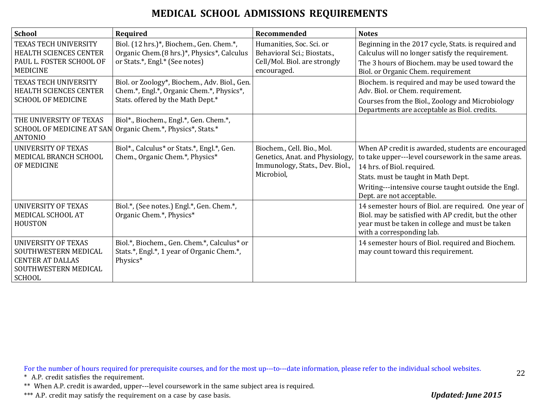| <b>School</b>                                                                                                          | Required                                                                                                                        | Recommended                                                                                                    | <b>Notes</b>                                                                                                                                                                                                                                                       |
|------------------------------------------------------------------------------------------------------------------------|---------------------------------------------------------------------------------------------------------------------------------|----------------------------------------------------------------------------------------------------------------|--------------------------------------------------------------------------------------------------------------------------------------------------------------------------------------------------------------------------------------------------------------------|
| <b>TEXAS TECH UNIVERSITY</b><br>HEALTH SCIENCES CENTER<br>PAUL L. FOSTER SCHOOL OF<br><b>MEDICINE</b>                  | Biol. (12 hrs.)*, Biochem., Gen. Chem.*,<br>Organic Chem.(8 hrs.)*, Physics*, Calculus<br>or Stats.*, Engl.* (See notes)        | Humanities, Soc. Sci. or<br>Behavioral Sci.; Biostats.,<br>Cell/Mol. Biol. are strongly<br>encouraged.         | Beginning in the 2017 cycle, Stats. is required and<br>Calculus will no longer satisfy the requirement.<br>The 3 hours of Biochem. may be used toward the<br>Biol. or Organic Chem. requirement                                                                    |
| TEXAS TECH UNIVERSITY<br><b>HEALTH SCIENCES CENTER</b><br><b>SCHOOL OF MEDICINE</b>                                    | Biol. or Zoology*, Biochem., Adv. Biol., Gen.<br>Chem.*, Engl.*, Organic Chem.*, Physics*,<br>Stats. offered by the Math Dept.* |                                                                                                                | Biochem. is required and may be used toward the<br>Adv. Biol. or Chem. requirement.<br>Courses from the Biol., Zoology and Microbiology<br>Departments are acceptable as Biol. credits.                                                                            |
| THE UNIVERSITY OF TEXAS<br><b>ANTONIO</b>                                                                              | Biol*., Biochem., Engl.*, Gen. Chem.*,<br>SCHOOL OF MEDICINE AT SAN Organic Chem.*, Physics*, Stats.*                           |                                                                                                                |                                                                                                                                                                                                                                                                    |
| <b>UNIVERSITY OF TEXAS</b><br>MEDICAL BRANCH SCHOOL<br>OF MEDICINE                                                     | Biol*., Calculus* or Stats.*, Engl.*, Gen.<br>Chem., Organic Chem.*, Physics*                                                   | Biochem., Cell. Bio., Mol.<br>Genetics, Anat. and Physiology,<br>Immunology, Stats., Dev. Biol.,<br>Microbiol, | When AP credit is awarded, students are encouraged<br>to take upper---level coursework in the same areas.<br>14 hrs. of Biol. required.<br>Stats. must be taught in Math Dept.<br>Writing---intensive course taught outside the Engl.<br>Dept. are not acceptable. |
| <b>UNIVERSITY OF TEXAS</b><br>MEDICAL SCHOOL AT<br><b>HOUSTON</b>                                                      | Biol.*, (See notes.) Engl.*, Gen. Chem.*,<br>Organic Chem.*, Physics*                                                           |                                                                                                                | 14 semester hours of Biol. are required. One year of<br>Biol. may be satisfied with AP credit, but the other<br>year must be taken in college and must be taken<br>with a corresponding lab.                                                                       |
| <b>UNIVERSITY OF TEXAS</b><br>SOUTHWESTERN MEDICAL<br><b>CENTER AT DALLAS</b><br>SOUTHWESTERN MEDICAL<br><b>SCHOOL</b> | Biol.*, Biochem., Gen. Chem.*, Calculus* or<br>Stats.*, Engl.*, 1 year of Organic Chem.*,<br>Physics*                           |                                                                                                                | 14 semester hours of Biol. required and Biochem.<br>may count toward this requirement.                                                                                                                                                                             |

For the number of hours required for prerequisite courses, and for the most up---to---date information, please refer to the individual school websites.

\* A.P. credit satisfies the requirement.

\*\* When A.P. credit is awarded, upper---level coursework in the same subject area is required.

\*\*\* A.P. credit may satisfy the requirement on a case by case basis. *Updated: June 2015*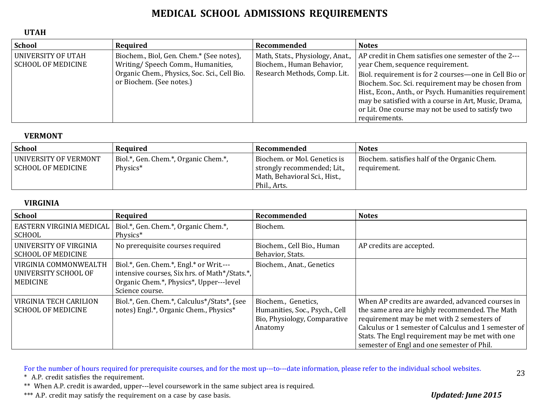#### **UTAH**

| School                                          | Required                                                                                                                                                  | Recommended                                                                                   | <b>Notes</b>                                                                                                                                                                                                                                                                                                                                                                                  |
|-------------------------------------------------|-----------------------------------------------------------------------------------------------------------------------------------------------------------|-----------------------------------------------------------------------------------------------|-----------------------------------------------------------------------------------------------------------------------------------------------------------------------------------------------------------------------------------------------------------------------------------------------------------------------------------------------------------------------------------------------|
| UNIVERSITY OF UTAH<br><b>SCHOOL OF MEDICINE</b> | Biochem., Biol, Gen. Chem.* (See notes),<br>Writing/Speech Comm., Humanities,<br>Organic Chem., Physics, Soc. Sci., Cell Bio.<br>or Biochem. (See notes.) | Math, Stats., Physiology, Anat.,<br>Biochem., Human Behavior,<br>Research Methods, Comp. Lit. | AP credit in Chem satisfies one semester of the 2---<br>year Chem, sequence requirement.<br>Biol. requirement is for 2 courses—one in Cell Bio or<br>Biochem. Soc. Sci. requirement may be chosen from<br>Hist., Econ., Anth., or Psych. Humanities requirement<br>may be satisfied with a course in Art, Music, Drama,<br>or Lit. One course may not be used to satisfy two<br>requirements. |

#### **VERMONT**

| <b>School</b>                                      | Required                                         | Recommended                                                                                                  | <b>Notes</b>                                                 |
|----------------------------------------------------|--------------------------------------------------|--------------------------------------------------------------------------------------------------------------|--------------------------------------------------------------|
| UNIVERSITY OF VERMONT<br><b>SCHOOL OF MEDICINE</b> | Biol.*, Gen. Chem.*, Organic Chem.*,<br>Physics* | Biochem. or Mol. Genetics is<br>strongly recommended; Lit.,<br>Math, Behavioral Sci., Hist.,<br>Phil., Arts. | Biochem. satisfies half of the Organic Chem.<br>requirement. |

#### **VIRGINIA**

| <b>School</b>                                                    | Required                                                                                                                                               | Recommended                                                                                      | <b>Notes</b>                                                                                                                                                                                                                                                                                              |
|------------------------------------------------------------------|--------------------------------------------------------------------------------------------------------------------------------------------------------|--------------------------------------------------------------------------------------------------|-----------------------------------------------------------------------------------------------------------------------------------------------------------------------------------------------------------------------------------------------------------------------------------------------------------|
| EASTERN VIRGINIA MEDICAL<br><b>SCHOOL</b>                        | Biol.*, Gen. Chem.*, Organic Chem.*,<br>Physics*                                                                                                       | Biochem.                                                                                         |                                                                                                                                                                                                                                                                                                           |
| UNIVERSITY OF VIRGINIA<br><b>SCHOOL OF MEDICINE</b>              | No prerequisite courses required                                                                                                                       | Biochem., Cell Bio., Human<br>Behavior, Stats.                                                   | AP credits are accepted.                                                                                                                                                                                                                                                                                  |
| VIRGINIA COMMONWEALTH<br>UNIVERSITY SCHOOL OF<br><b>MEDICINE</b> | Biol.*, Gen. Chem.*, Engl.* or Writ.---<br>intensive courses, Six hrs. of Math*/Stats.*,<br>Organic Chem.*, Physics*, Upper---level<br>Science course. | Biochem., Anat., Genetics                                                                        |                                                                                                                                                                                                                                                                                                           |
| <b>VIRGINIA TECH CARILION</b><br><b>SCHOOL OF MEDICINE</b>       | Biol.*, Gen. Chem.*, Calculus*/Stats*, (see<br>notes) Engl.*, Organic Chem., Physics*                                                                  | Biochem., Genetics,<br>Humanities, Soc., Psych., Cell<br>Bio, Physiology, Comparative<br>Anatomy | When AP credits are awarded, advanced courses in<br>the same area are highly recommended. The Math<br>requirement may be met with 2 semesters of<br>Calculus or 1 semester of Calculus and 1 semester of<br>Stats. The Engl requirement may be met with one<br>semester of Engl and one semester of Phil. |

For the number of hours required for prerequisite courses, and for the most up---to---date information, please refer to the individual school websites.

\* A.P. credit satisfies the requirement.

\*\* When A.P. credit is awarded, upper---level coursework in the same subject area is required.

\*\*\* A.P. credit may satisfy the requirement on a case by case basis. *Updated: June 2015*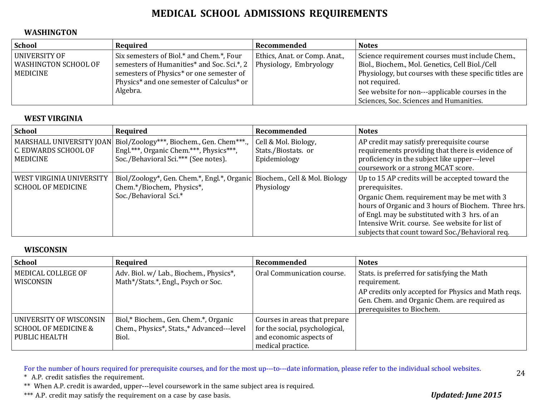#### **WASHINGTON**

| <b>School</b>                                     | Required                                                                                                                                                                                                             | Recommended                   | <b>Notes</b>                                                                                                                                                                                                                                                                    |
|---------------------------------------------------|----------------------------------------------------------------------------------------------------------------------------------------------------------------------------------------------------------------------|-------------------------------|---------------------------------------------------------------------------------------------------------------------------------------------------------------------------------------------------------------------------------------------------------------------------------|
| UNIVERSITY OF<br>WASHINGTON SCHOOL OF<br>MEDICINE | Six semesters of Biol.* and Chem.*, Four<br>semesters of Humanities* and Soc. Sci.*, 2   Physiology, Embryology<br>semesters of Physics* or one semester of<br>Physics* and one semester of Calculus* or<br>Algebra. | Ethics, Anat. or Comp. Anat., | Science requirement courses must include Chem.,<br>Biol., Biochem., Mol. Genetics, Cell Biol./Cell<br>Physiology, but courses with these specific titles are $ $<br>not required.<br>See website for non---applicable courses in the<br>Sciences, Soc. Sciences and Humanities. |

#### **WEST VIRGINIA**

| <b>School</b>                                         | Required                                                                                                                                                | Recommended                                                | <b>Notes</b>                                                                                                                                                                                                                                                                                                                   |
|-------------------------------------------------------|---------------------------------------------------------------------------------------------------------------------------------------------------------|------------------------------------------------------------|--------------------------------------------------------------------------------------------------------------------------------------------------------------------------------------------------------------------------------------------------------------------------------------------------------------------------------|
| C. EDWARDS SCHOOL OF<br><b>MEDICINE</b>               | MARSHALL UNIVERSITY JOAN   Biol/Zoology***, Biochem., Gen. Chem***.,<br>Engl.***, Organic Chem.***, Physics***,<br>Soc./Behavioral Sci.*** (See notes). | Cell & Mol. Biology,<br>Stats./Biostats.or<br>Epidemiology | AP credit may satisfy prerequisite course<br>requirements providing that there is evidence of<br>proficiency in the subject like upper---level<br>coursework or a strong MCAT score.                                                                                                                                           |
| WEST VIRGINIA UNIVERSITY<br><b>SCHOOL OF MEDICINE</b> | Biol/Zoology*, Gen. Chem.*, Engl.*, Organic Biochem., Cell & Mol. Biology<br>Chem.*/Biochem, Physics*,<br>Soc./Behavioral Sci.*                         | Physiology                                                 | Up to 15 AP credits will be accepted toward the<br>prerequisites.<br>Organic Chem. requirement may be met with 3<br>hours of Organic and 3 hours of Biochem. Three hrs.<br>of Engl. may be substituted with 3 hrs. of an<br>Intensive Writ. course. See website for list of<br>subjects that count toward Soc./Behavioral req. |

#### **WISCONSIN**

| School                                                                      | Required                                                                                     | Recommended                                                                                                     | <b>Notes</b>                                                                                                                     |
|-----------------------------------------------------------------------------|----------------------------------------------------------------------------------------------|-----------------------------------------------------------------------------------------------------------------|----------------------------------------------------------------------------------------------------------------------------------|
| MEDICAL COLLEGE OF<br>WISCONSIN                                             | Adv. Biol. w/ Lab., Biochem., Physics*,<br>Math*/Stats.*, Engl., Psych or Soc.               | Oral Communication course.                                                                                      | Stats. is preferred for satisfying the Math<br>requirement.                                                                      |
|                                                                             |                                                                                              |                                                                                                                 | AP credits only accepted for Physics and Math reqs.<br>Gen. Chem. and Organic Chem. are required as<br>prerequisites to Biochem. |
| UNIVERSITY OF WISCONSIN<br><b>SCHOOL OF MEDICINE &amp;</b><br>PUBLIC HEALTH | Biol,* Biochem., Gen. Chem.*, Organic<br>Chem., Physics*, Stats.,* Advanced---level<br>Biol. | Courses in areas that prepare<br>for the social, psychological,<br>and economic aspects of<br>medical practice. |                                                                                                                                  |

For the number of hours required for prerequisite courses, and for the most up---to---date information, please refer to the individual school websites.

\* A.P. credit satisfies the requirement.

\*\* When A.P. credit is awarded, upper---level coursework in the same subject area is required.

\*\*\* A.P. credit may satisfy the requirement on a case by case basis. *Updated: June 2015*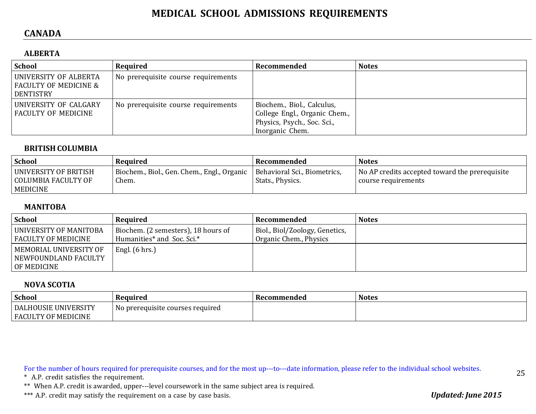### **CANADA**

### **ALBERTA**

| <b>School</b>                                                          | Required                            | Recommended                                                                                                   | <b>Notes</b> |
|------------------------------------------------------------------------|-------------------------------------|---------------------------------------------------------------------------------------------------------------|--------------|
| UNIVERSITY OF ALBERTA<br><b>FACULTY OF MEDICINE &amp;</b><br>DENTISTRY | No prerequisite course requirements |                                                                                                               |              |
| UNIVERSITY OF CALGARY<br><b>FACULTY OF MEDICINE</b>                    | No prerequisite course requirements | Biochem., Biol., Calculus,<br>College Engl., Organic Chem.,<br>Physics, Psych., Soc. Sci.,<br>Inorganic Chem. |              |

#### **BRITISH COLUMBIA**

| <b>School</b>                                            | Required                                                                            | Recommended      | <b>Notes</b>                                                          |
|----------------------------------------------------------|-------------------------------------------------------------------------------------|------------------|-----------------------------------------------------------------------|
| UNIVERSITY OF BRITISH<br>COLUMBIA FACULTY OF<br>MEDICINE | Biochem., Biol., Gen. Chem., Engl., Organic   Behavioral Sci., Biometrics,<br>Chem. | Stats., Physics. | No AP credits accepted toward the prerequisite<br>course requirements |

#### **MANITOBA**

| <b>School</b>                                                   | Required                                                          | Recommended                                              | <b>Notes</b> |
|-----------------------------------------------------------------|-------------------------------------------------------------------|----------------------------------------------------------|--------------|
| UNIVERSITY OF MANITOBA<br><b>FACULTY OF MEDICINE</b>            | Biochem. (2 semesters), 18 hours of<br>Humanities* and Soc. Sci.* | Biol., Biol/Zoology, Genetics,<br>Organic Chem., Physics |              |
| MEMORIAL UNIVERSITY OF<br>  NEWFOUNDLAND FACULTY<br>OF MEDICINE | Engl. (6 hrs.)                                                    |                                                          |              |

#### **NOVA SCOTIA**

| <b>School</b>                                                            | Required                          | Recommended | <b>Notes</b> |
|--------------------------------------------------------------------------|-----------------------------------|-------------|--------------|
| : UNIVERSITY<br><b>DALHOUSIE</b><br><b>FACULTY OF</b><br><b>MEDICINE</b> | No prereguisite courses reguired_ |             |              |

For the number of hours required for prerequisite courses, and for the most up---to---date information, please refer to the individual school websites.

\* A.P. credit satisfies the requirement.

\*\* When A.P. credit is awarded, upper---level coursework in the same subject area is required.

\*\*\* A.P. credit may satisfy the requirement on a case by case basis. *Updated: June 2015*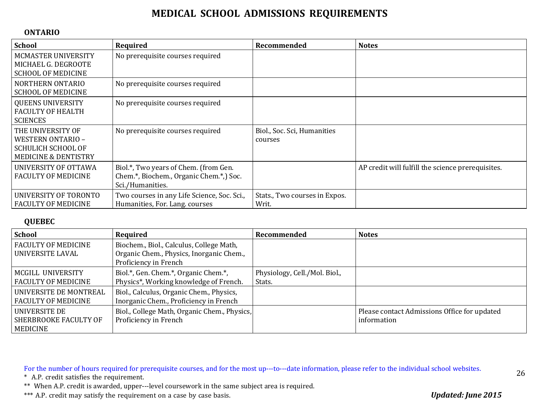#### **ONTARIO**

| <b>School</b>                                                                                                 | Required                                                                                            | Recommended                            | <b>Notes</b>                                      |
|---------------------------------------------------------------------------------------------------------------|-----------------------------------------------------------------------------------------------------|----------------------------------------|---------------------------------------------------|
| MCMASTER UNIVERSITY<br>MICHAEL G. DEGROOTE<br><b>SCHOOL OF MEDICINE</b>                                       | No prerequisite courses required                                                                    |                                        |                                                   |
| NORTHERN ONTARIO<br><b>SCHOOL OF MEDICINE</b>                                                                 | No prerequisite courses required                                                                    |                                        |                                                   |
| <b>QUEENS UNIVERSITY</b><br><b>FACULTY OF HEALTH</b><br><b>SCIENCES</b>                                       | No prerequisite courses required                                                                    |                                        |                                                   |
| THE UNIVERSITY OF<br><b>WESTERN ONTARIO -</b><br><b>SCHULICH SCHOOL OF</b><br><b>MEDICINE &amp; DENTISTRY</b> | No prerequisite courses required                                                                    | Biol., Soc. Sci, Humanities<br>courses |                                                   |
| UNIVERSITY OF OTTAWA<br><b>FACULTY OF MEDICINE</b>                                                            | Biol.*, Two years of Chem. (from Gen.<br>Chem.*, Biochem., Organic Chem.*, Soc.<br>Sci./Humanities. |                                        | AP credit will fulfill the science prerequisites. |
| UNIVERSITY OF TORONTO<br><b>FACULTY OF MEDICINE</b>                                                           | Two courses in any Life Science, Soc. Sci.,<br>Humanities, For. Lang. courses                       | Stats., Two courses in Expos.<br>Writ. |                                                   |

#### **QUEBEC**

| <b>School</b>                                             | Required                                                                                                      | Recommended                             | <b>Notes</b>                                                |
|-----------------------------------------------------------|---------------------------------------------------------------------------------------------------------------|-----------------------------------------|-------------------------------------------------------------|
| <b>FACULTY OF MEDICINE</b><br>UNIVERSITE LAVAL            | Biochem., Biol., Calculus, College Math,<br>Organic Chem., Physics, Inorganic Chem.,<br>Proficiency in French |                                         |                                                             |
| MCGILL UNIVERSITY<br><b>FACULTY OF MEDICINE</b>           | Biol.*, Gen. Chem.*, Organic Chem.*,<br>Physics*, Working knowledge of French.                                | Physiology, Cell./Mol. Biol.,<br>Stats. |                                                             |
| UNIVERSITE DE MONTREAL<br><b>FACULTY OF MEDICINE</b>      | Biol., Calculus, Organic Chem., Physics,<br>Inorganic Chem., Proficiency in French                            |                                         |                                                             |
| UNIVERSITE DE<br><b>SHERBROOKE FACULTY OF</b><br>MEDICINE | Biol., College Math, Organic Chem., Physics,<br>Proficiency in French                                         |                                         | Please contact Admissions Office for updated<br>information |

For the number of hours required for prerequisite courses, and for the most up---to---date information, please refer to the individual school websites.

\* A.P. credit satisfies the requirement.

\*\* When A.P. credit is awarded, upper---level coursework in the same subject area is required.

\*\*\* A.P. credit may satisfy the requirement on a case by case basis. *Updated: June 2015*